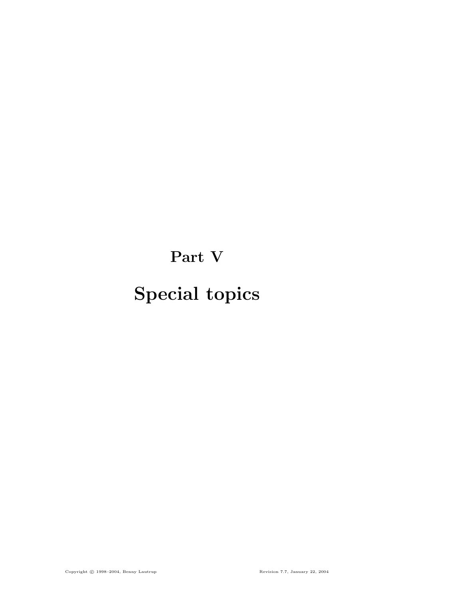# Part V

# Special topics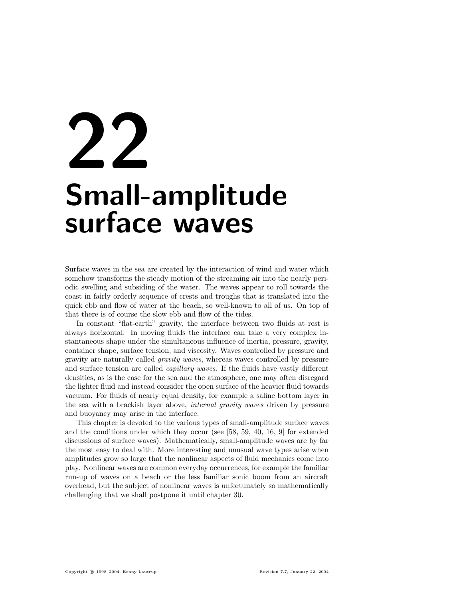# 22 Small-amplitude surface waves

Surface waves in the sea are created by the interaction of wind and water which somehow transforms the steady motion of the streaming air into the nearly periodic swelling and subsiding of the water. The waves appear to roll towards the coast in fairly orderly sequence of crests and troughs that is translated into the quick ebb and flow of water at the beach, so well-known to all of us. On top of that there is of course the slow ebb and flow of the tides.

In constant "flat-earth" gravity, the interface between two fluids at rest is always horizontal. In moving fluids the interface can take a very complex instantaneous shape under the simultaneous influence of inertia, pressure, gravity, container shape, surface tension, and viscosity. Waves controlled by pressure and gravity are naturally called gravity waves, whereas waves controlled by pressure and surface tension are called *capillary waves*. If the fluids have vastly different densities, as is the case for the sea and the atmosphere, one may often disregard the lighter fluid and instead consider the open surface of the heavier fluid towards vacuum. For fluids of nearly equal density, for example a saline bottom layer in the sea with a brackish layer above, internal gravity waves driven by pressure and buoyancy may arise in the interface.

This chapter is devoted to the various types of small-amplitude surface waves and the conditions under which they occur (see [58, 59, 40, 16, 9] for extended discussions of surface waves). Mathematically, small-amplitude waves are by far the most easy to deal with. More interesting and unusual wave types arise when amplitudes grow so large that the nonlinear aspects of fluid mechanics come into play. Nonlinear waves are common everyday occurrences, for example the familiar run-up of waves on a beach or the less familiar sonic boom from an aircraft overhead, but the subject of nonlinear waves is unfortunately so mathematically challenging that we shall postpone it until chapter 30.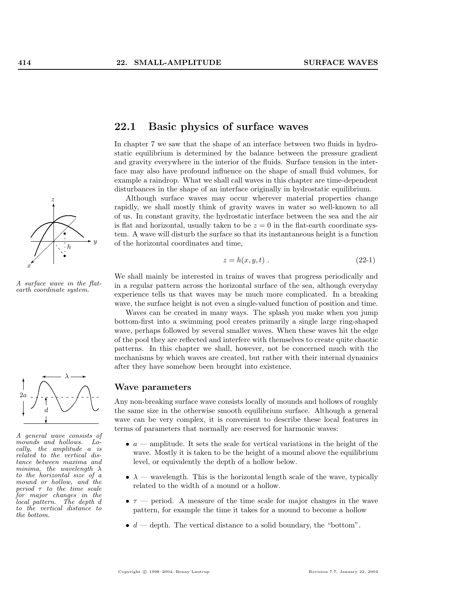

A surface wave in the flat-<br>earth coordinate system.



A general wave consists of mounds and hollows. Locally, the amplitude a is related to the vertical distance between maxima and minima, the wavelength  $\lambda$ to the horizontal size of a mound or hollow, and the period  $\tau$  to the time scale for major changes in the local pattern. The depth d to the vertical distance to the bottom.

# 22.1 Basic physics of surface waves

In chapter 7 we saw that the shape of an interface between two fluids in hydrostatic equilibrium is determined by the balance between the pressure gradient and gravity everywhere in the interior of the fluids. Surface tension in the interface may also have profound influence on the shape of small fluid volumes, for example a raindrop. What we shall call waves in this chapter are time-dependent disturbances in the shape of an interface originally in hydrostatic equilibrium.

Although surface waves may occur wherever material properties change rapidly, we shall mostly think of gravity waves in water so well-known to all of us. In constant gravity, the hydrostatic interface between the sea and the air is flat and horizontal, usually taken to be  $z = 0$  in the flat-earth coordinate system. A wave will disturb the surface so that its instantaneous height is a function of the horizontal coordinates and time,

$$
z = h(x, y, t) \tag{22-1}
$$

We shall mainly be interested in trains of waves that progress periodically and in a regular pattern across the horizontal surface of the sea, although everyday experience tells us that waves may be much more complicated. In a breaking wave, the surface height is not even a single-valued function of position and time.

Waves can be created in many ways. The splash you make when you jump bottom-first into a swimming pool creates primarily a single large ring-shaped wave, perhaps followed by several smaller waves. When these waves hit the edge of the pool they are reflected and interfere with themselves to create quite chaotic patterns. In this chapter we shall, however, not be concerned much with the mechanisms by which waves are created, but rather with their internal dynamics after they have somehow been brought into existence.

#### Wave parameters

Any non-breaking surface wave consists locally of mounds and hollows of roughly the same size in the otherwise smooth equilibrium surface. Although a general wave can be very complex, it is convenient to describe these local features in terms of parameters that normally are reserved for harmonic waves:

- $a$  amplitude. It sets the scale for vertical variations in the height of the wave. Mostly it is taken to be the height of a mound above the equilibrium level, or equivalently the depth of a hollow below.
- $\lambda$  wavelength. This is the horizontal length scale of the wave, typically related to the width of a mound or a hollow.
- $\tau$  period. A measure of the time scale for major changes in the wave pattern, for example the time it takes for a mound to become a hollow
- $d$  depth. The vertical distance to a solid boundary, the "bottom".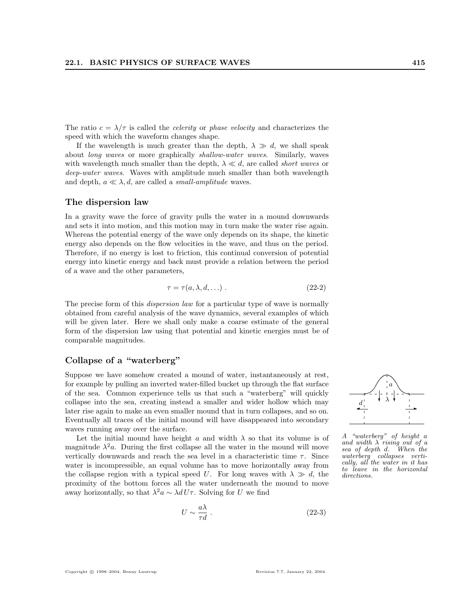The ratio  $c = \lambda/\tau$  is called the *celerity* or *phase velocity* and characterizes the speed with which the waveform changes shape.

If the wavelength is much greater than the depth,  $\lambda \gg d$ , we shall speak about long waves or more graphically shallow-water waves. Similarly, waves with wavelength much smaller than the depth,  $\lambda \ll d$ , are called *short waves* or deep-water waves. Waves with amplitude much smaller than both wavelength and depth,  $a \ll \lambda$ , d, are called a *small-amplitude* waves.

#### The dispersion law

In a gravity wave the force of gravity pulls the water in a mound downwards and sets it into motion, and this motion may in turn make the water rise again. Whereas the potential energy of the wave only depends on its shape, the kinetic energy also depends on the flow velocities in the wave, and thus on the period. Therefore, if no energy is lost to friction, this continual conversion of potential energy into kinetic energy and back must provide a relation between the period of a wave and the other parameters,

$$
\tau = \tau(a, \lambda, d, \ldots) \tag{22-2}
$$

The precise form of this *dispersion law* for a particular type of wave is normally obtained from careful analysis of the wave dynamics, several examples of which will be given later. Here we shall only make a coarse estimate of the general form of the dispersion law using that potential and kinetic energies must be of comparable magnitudes.

#### Collapse of a "waterberg"

Suppose we have somehow created a mound of water, instantaneously at rest, for example by pulling an inverted water-filled bucket up through the flat surface of the sea. Common experience tells us that such a "waterberg" will quickly collapse into the sea, creating instead a smaller and wider hollow which may later rise again to make an even smaller mound that in turn collapses, and so on. Eventually all traces of the initial mound will have disappeared into secondary waves running away over the surface.

Let the initial mound have height a and width  $\lambda$  so that its volume is of magnitude  $\lambda^2 a$ . During the first collapse all the water in the mound will move vertically downwards and reach the sea level in a characteristic time  $\tau$ . Since water is incompressible, an equal volume has to move horizontally away from the collapse region with a typical speed U. For long waves with  $\lambda \gg d$ , the proximity of the bottom forces all the water underneath the mound to move away horizontally, so that  $\lambda^2 a \sim \lambda d U \tau$ . Solving for U we find

$$
U \sim \frac{a\lambda}{\tau d} \tag{22-3}
$$



A "waterberg" of height a and width  $\lambda$  rising out of a sea of depth d. When the waterberg collapses vertically, all the water in it has to leave in the horizontal directions.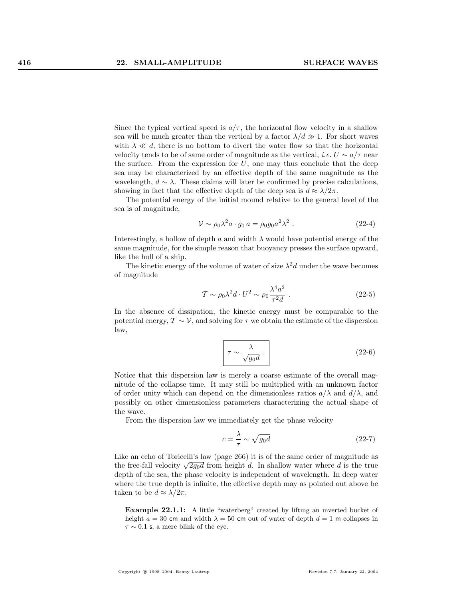Since the typical vertical speed is  $a/\tau$ , the horizontal flow velocity in a shallow sea will be much greater than the vertical by a factor  $\lambda/d \gg 1$ . For short waves with  $\lambda \ll d$ , there is no bottom to divert the water flow so that the horizontal velocity tends to be of same order of magnitude as the vertical, *i.e.*  $U \sim a/\tau$  near the surface. From the expression for  $U$ , one may thus conclude that the deep sea may be characterized by an effective depth of the same magnitude as the wavelength,  $d \sim \lambda$ . These claims will later be confirmed by precise calculations, showing in fact that the effective depth of the deep sea is  $d \approx \lambda/2\pi$ .

The potential energy of the initial mound relative to the general level of the sea is of magnitude,

$$
\mathcal{V} \sim \rho_0 \lambda^2 a \cdot g_0 a = \rho_0 g_0 a^2 \lambda^2 \ . \tag{22-4}
$$

Interestingly, a hollow of depth a and width  $\lambda$  would have potential energy of the same magnitude, for the simple reason that buoyancy presses the surface upward, like the hull of a ship.

The kinetic energy of the volume of water of size  $\lambda^2 d$  under the wave becomes of magnitude

$$
\mathcal{T} \sim \rho_0 \lambda^2 d \cdot U^2 \sim \rho_0 \frac{\lambda^4 a^2}{\tau^2 d} \ . \tag{22-5}
$$

In the absence of dissipation, the kinetic energy must be comparable to the potential energy,  $\mathcal{T} \sim \mathcal{V}$ , and solving for  $\tau$  we obtain the estimate of the dispersion law,

$$
\tau \sim \frac{\lambda}{\sqrt{g_0 d}} \ . \tag{22-6}
$$

Notice that this dispersion law is merely a coarse estimate of the overall magnitude of the collapse time. It may still be multiplied with an unknown factor of order unity which can depend on the dimensionless ratios  $a/\lambda$  and  $d/\lambda$ , and possibly on other dimensionless parameters characterizing the actual shape of the wave.

From the dispersion law we immediately get the phase velocity

$$
c = \frac{\lambda}{\tau} \sim \sqrt{g_0 d} \tag{22-7}
$$

Like an echo of Toricelli's law (page 266) it is of the same order of magnitude as the free-fall velocity  $\sqrt{2g_0d}$  from height d. In shallow water where d is the true depth of the sea, the phase velocity is independent of wavelength. In deep water where the true depth is infinite, the effective depth may as pointed out above be taken to be  $d \approx \lambda/2\pi$ .

Example 22.1.1: A little "waterberg" created by lifting an inverted bucket of height  $a = 30$  cm and width  $\lambda = 50$  cm out of water of depth  $d = 1$  m collapses in  $\tau \sim 0.1$  s, a mere blink of the eye.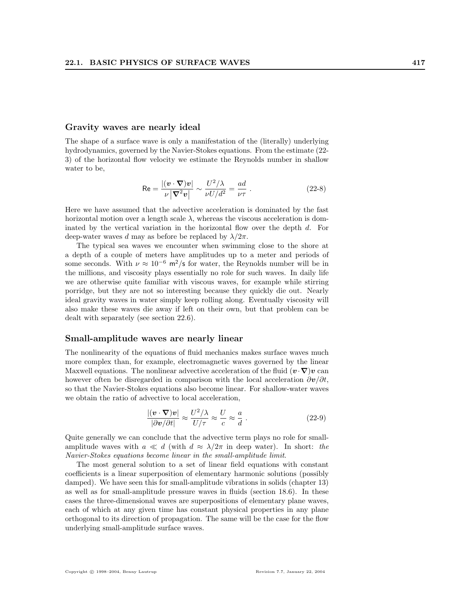#### Gravity waves are nearly ideal

The shape of a surface wave is only a manifestation of the (literally) underlying hydrodynamics, governed by the Navier-Stokes equations. From the estimate (22- 3) of the horizontal flow velocity we estimate the Reynolds number in shallow water to be,

$$
\text{Re} = \frac{|(\boldsymbol{v} \cdot \boldsymbol{\nabla})\boldsymbol{v}|}{\nu |\boldsymbol{\nabla}^2 \boldsymbol{v}|} \sim \frac{U^2/\lambda}{\nu U/d^2} = \frac{ad}{\nu \tau} \ . \tag{22-8}
$$

Here we have assumed that the advective acceleration is dominated by the fast horizontal motion over a length scale  $\lambda$ , whereas the viscous acceleration is dominated by the vertical variation in the horizontal flow over the depth d. For deep-water waves d may as before be replaced by  $\lambda/2\pi$ .

The typical sea waves we encounter when swimming close to the shore at a depth of a couple of meters have amplitudes up to a meter and periods of some seconds. With  $\nu \approx 10^{-6}$  m<sup>2</sup>/s for water, the Reynolds number will be in the millions, and viscosity plays essentially no role for such waves. In daily life we are otherwise quite familiar with viscous waves, for example while stirring porridge, but they are not so interesting because they quickly die out. Nearly ideal gravity waves in water simply keep rolling along. Eventually viscosity will also make these waves die away if left on their own, but that problem can be dealt with separately (see section 22.6).

#### Small-amplitude waves are nearly linear

The nonlinearity of the equations of fluid mechanics makes surface waves much more complex than, for example, electromagnetic waves governed by the linear Maxwell equations. The nonlinear advective acceleration of the fluid  $(v\cdot\nabla)v$  can however often be disregarded in comparison with the local acceleration  $\partial v/\partial t$ , so that the Navier-Stokes equations also become linear. For shallow-water waves we obtain the ratio of advective to local acceleration,

$$
\frac{|(\mathbf{v} \cdot \nabla)\mathbf{v}|}{|\partial \mathbf{v}/\partial t|} \approx \frac{U^2/\lambda}{U/\tau} \approx \frac{U}{c} \approx \frac{a}{d}.
$$
 (22-9)

Quite generally we can conclude that the advective term plays no role for smallamplitude waves with  $a \ll d$  (with  $d \approx \lambda/2\pi$  in deep water). In short: the Navier-Stokes equations become linear in the small-amplitude limit.

The most general solution to a set of linear field equations with constant coefficients is a linear superposition of elementary harmonic solutions (possibly damped). We have seen this for small-amplitude vibrations in solids (chapter 13) as well as for small-amplitude pressure waves in fluids (section 18.6). In these cases the three-dimensional waves are superpositions of elementary plane waves, each of which at any given time has constant physical properties in any plane orthogonal to its direction of propagation. The same will be the case for the flow underlying small-amplitude surface waves.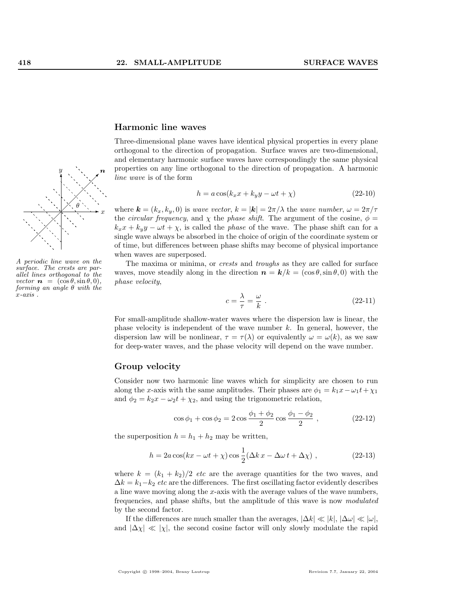

A periodic line wave on the surface. The crests are parallel lines orthogonal to the vector  $\mathbf{n} = (\cos \theta, \sin \theta, 0),$ forming an angle  $\theta$  with the  $x$ -axis.

#### Harmonic line waves

Three-dimensional plane waves have identical physical properties in every plane orthogonal to the direction of propagation. Surface waves are two-dimensional, and elementary harmonic surface waves have correspondingly the same physical properties on any line orthogonal to the direction of propagation. A harmonic line wave is of the form

$$
h = a\cos(k_x x + k_y y - \omega t + \chi)
$$
\n(22-10)

where  $\mathbf{k} = (k_x, k_y, 0)$  is wave vector,  $k = |\mathbf{k}| = 2\pi/\lambda$  the wave number,  $\omega = 2\pi/\tau$ the *circular frequency*, and  $\chi$  the *phase shift*. The argument of the cosine,  $\phi$  =  $k_x x + k_y y - \omega t + \chi$ , is called the *phase* of the wave. The phase shift can for a single wave always be absorbed in the choice of origin of the coordinate system or of time, but differences between phase shifts may become of physical importance when waves are superposed.

The maxima or minima, or crests and troughs as they are called for surface waves, move steadily along in the direction  $n = k/k = (\cos \theta, \sin \theta, 0)$  with the phase velocity,

$$
c = \frac{\lambda}{\tau} = \frac{\omega}{k} \tag{22-11}
$$

For small-amplitude shallow-water waves where the dispersion law is linear, the phase velocity is independent of the wave number  $k$ . In general, however, the dispersion law will be nonlinear,  $\tau = \tau(\lambda)$  or equivalently  $\omega = \omega(k)$ , as we saw for deep-water waves, and the phase velocity will depend on the wave number.

#### Group velocity

Consider now two harmonic line waves which for simplicity are chosen to run along the x-axis with the same amplitudes. Their phases are  $\phi_1 = k_1x - \omega_1t + \chi_1$ and  $\phi_2 = k_2x - \omega_2t + \chi_2$ , and using the trigonometric relation,

$$
\cos \phi_1 + \cos \phi_2 = 2 \cos \frac{\phi_1 + \phi_2}{2} \cos \frac{\phi_1 - \phi_2}{2} , \qquad (22-12)
$$

the superposition  $h = h_1 + h_2$  may be written,

$$
h = 2a\cos(kx - \omega t + \chi)\cos\frac{1}{2}(\Delta k x - \Delta \omega t + \Delta \chi) , \qquad (22-13)
$$

where  $k = (k_1 + k_2)/2$  etc are the average quantities for the two waves, and  $\Delta k = k_1 - k_2$  etc are the differences. The first oscillating factor evidently describes a line wave moving along the x-axis with the average values of the wave numbers, frequencies, and phase shifts, but the amplitude of this wave is now modulated by the second factor.

If the differences are much smaller than the averages,  $|\Delta k| \ll |k|, |\Delta \omega| \ll |\omega|$ , and  $|\Delta \chi| \ll |\chi|$ , the second cosine factor will only slowly modulate the rapid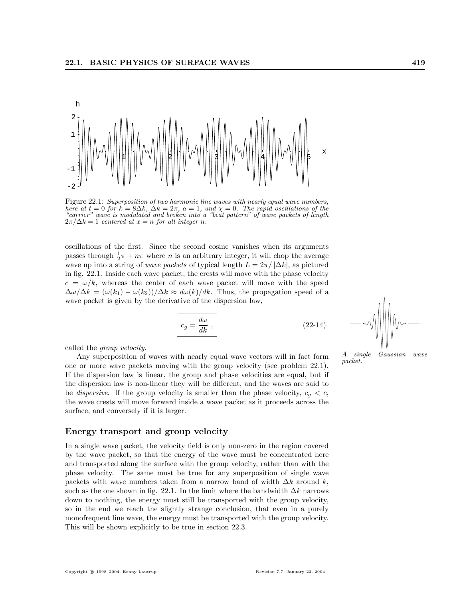

Figure 22.1: Superposition of two harmonic line waves with nearly equal wave numbers, here at  $t = 0$  for  $k = 8\Delta k$ ,  $\Delta k = 2\pi$ ,  $a = 1$ , and  $\chi = 0$ . The rapid oscillations of the "carrier" wave is modulated and broken into a "beat pattern" of wave packets of length  $2\pi/\Delta k = 1$  centered at  $x = n$  for all integer n.

oscillations of the first. Since the second cosine vanishes when its arguments passes through  $\frac{1}{2}\pi + n\pi$  where *n* is an arbitrary integer, it will chop the average wave up into a string of *wave packets* of typical length  $L = 2\pi / |\Delta k|$ , as pictured in fig. 22.1. Inside each wave packet, the crests will move with the phase velocity  $c = \omega/k$ , whereas the center of each wave packet will move with the speed  $\Delta\omega/\Delta k = (\omega(k_1) - \omega(k_2))/\Delta k \approx d\omega(k)/dk$ . Thus, the propagation speed of a wave packet is given by the derivative of the dispersion law,

$$
c_g = \frac{d\omega}{dk} , \qquad (22-14)
$$

called the group velocity.

Any superposition of waves with nearly equal wave vectors will in fact form one or more wave packets moving with the group velocity (see problem 22.1). If the dispersion law is linear, the group and phase velocities are equal, but if the dispersion law is non-linear they will be different, and the waves are said to be *dispersive*. If the group velocity is smaller than the phase velocity,  $c_q < c$ , the wave crests will move forward inside a wave packet as it proceeds across the surface, and conversely if it is larger.

#### Energy transport and group velocity

In a single wave packet, the velocity field is only non-zero in the region covered by the wave packet, so that the energy of the wave must be concentrated here and transported along the surface with the group velocity, rather than with the phase velocity. The same must be true for any superposition of single wave packets with wave numbers taken from a narrow band of width  $\Delta k$  around k, such as the one shown in fig. 22.1. In the limit where the bandwidth  $\Delta k$  narrows down to nothing, the energy must still be transported with the group velocity, so in the end we reach the slightly strange conclusion, that even in a purely monofrequent line wave, the energy must be transported with the group velocity. This will be shown explicitly to be true in section 22.3.



A single Gaussian wave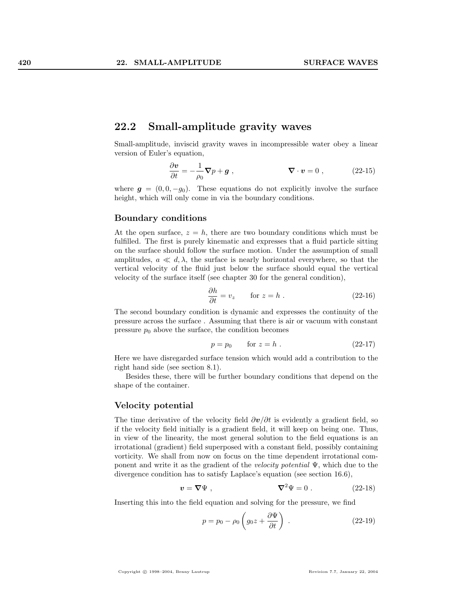## 22.2 Small-amplitude gravity waves

Small-amplitude, inviscid gravity waves in incompressible water obey a linear version of Euler's equation,

$$
\frac{\partial \mathbf{v}}{\partial t} = -\frac{1}{\rho_0} \nabla p + \mathbf{g} \;, \qquad \qquad \nabla \cdot \mathbf{v} = 0 \;, \tag{22-15}
$$

where  $q = (0, 0, -q_0)$ . These equations do not explicitly involve the surface height, which will only come in via the boundary conditions.

#### Boundary conditions

At the open surface,  $z = h$ , there are two boundary conditions which must be fulfilled. The first is purely kinematic and expresses that a fluid particle sitting on the surface should follow the surface motion. Under the assumption of small amplitudes,  $a \ll d, \lambda$ , the surface is nearly horizontal everywhere, so that the vertical velocity of the fluid just below the surface should equal the vertical velocity of the surface itself (see chapter 30 for the general condition),

$$
\frac{\partial h}{\partial t} = v_z \qquad \text{for } z = h . \tag{22-16}
$$

The second boundary condition is dynamic and expresses the continuity of the pressure across the surface . Assuming that there is air or vacuum with constant pressure  $p_0$  above the surface, the condition becomes

$$
p = p_0 \qquad \text{for } z = h . \tag{22-17}
$$

Here we have disregarded surface tension which would add a contribution to the right hand side (see section 8.1).

Besides these, there will be further boundary conditions that depend on the shape of the container.

#### Velocity potential

The time derivative of the velocity field  $\partial v/\partial t$  is evidently a gradient field, so if the velocity field initially is a gradient field, it will keep on being one. Thus, in view of the linearity, the most general solution to the field equations is an irrotational (gradient) field superposed with a constant field, possibly containing vorticity. We shall from now on focus on the time dependent irrotational component and write it as the gradient of the velocity potential  $\Psi$ , which due to the divergence condition has to satisfy Laplace's equation (see section 16.6),

$$
\mathbf{v} = \nabla \Psi , \qquad \qquad \nabla^2 \Psi = 0 . \qquad (22-18)
$$

Inserting this into the field equation and solving for the pressure, we find

$$
p = p_0 - \rho_0 \left( g_0 z + \frac{\partial \Psi}{\partial t} \right) . \tag{22-19}
$$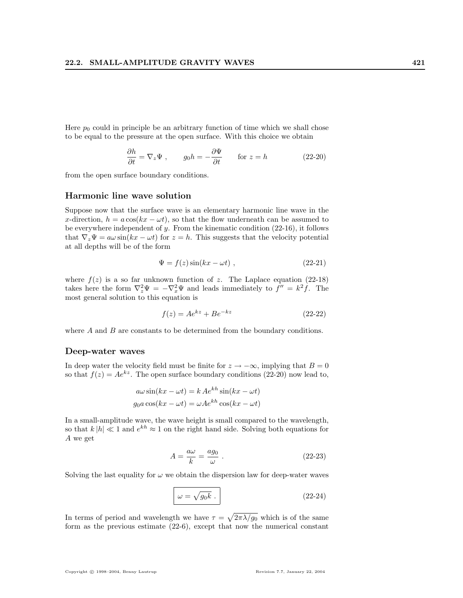Here  $p_0$  could in principle be an arbitrary function of time which we shall chose to be equal to the pressure at the open surface. With this choice we obtain

$$
\frac{\partial h}{\partial t} = \nabla_z \Psi , \qquad g_0 h = -\frac{\partial \Psi}{\partial t} \qquad \text{for } z = h \tag{22-20}
$$

from the open surface boundary conditions.

#### Harmonic line wave solution

Suppose now that the surface wave is an elementary harmonic line wave in the x-direction,  $h = a \cos(kx - \omega t)$ , so that the flow underneath can be assumed to be everywhere independent of  $y$ . From the kinematic condition  $(22-16)$ , it follows that  $\nabla_z \Psi = a\omega \sin(kx - \omega t)$  for  $z = h$ . This suggests that the velocity potential at all depths will be of the form

$$
\Psi = f(z)\sin(kx - \omega t) , \qquad (22-21)
$$

where  $f(z)$  is a so far unknown function of z. The Laplace equation (22-18) takes here the form  $\nabla_z^2 \Psi = -\nabla_x^2 \Psi$  and leads immediately to  $f'' = k^2 f$ . The most general solution to this equation is

$$
f(z) = Ae^{kz} + Be^{-kz}
$$
 (22-22)

where  $A$  and  $B$  are constants to be determined from the boundary conditions.

#### Deep-water waves

In deep water the velocity field must be finite for  $z \to -\infty$ , implying that  $B = 0$ so that  $f(z) = Ae^{kz}$ . The open surface boundary conditions (22-20) now lead to,

$$
a\omega \sin(kx - \omega t) = k A e^{kh} \sin(kx - \omega t)
$$

$$
g_0 a \cos(kx - \omega t) = \omega A e^{kh} \cos(kx - \omega t)
$$

In a small-amplitude wave, the wave height is small compared to the wavelength, so that  $k|h| \ll 1$  and  $e^{kh} \approx 1$  on the right hand side. Solving both equations for A we get

$$
A = \frac{a\omega}{k} = \frac{ag_0}{\omega} \tag{22-23}
$$

Solving the last equality for  $\omega$  we obtain the dispersion law for deep-water waves

$$
\omega = \sqrt{g_0 k} \ . \tag{22-24}
$$

In terms of period and wavelength we have  $\tau =$ p  $2\pi\lambda/g_0$  which is of the same form as the previous estimate (22-6), except that now the numerical constant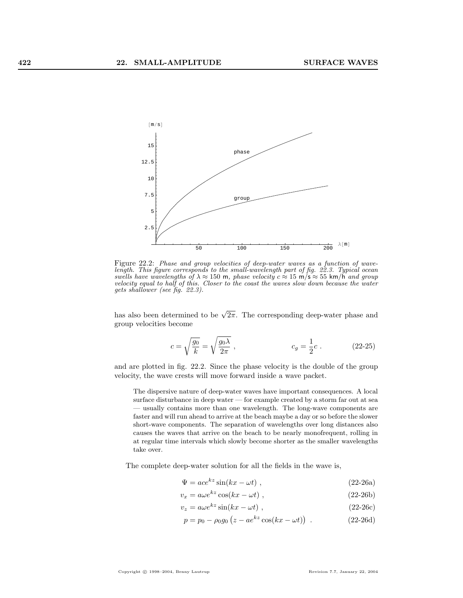

Figure 22.2: Phase and group velocities of deep-water waves as a function of wavelength. This figure corresponds to the small-wavelength part of fig. 22.3. Typical ocean swells have wavelengths of  $\lambda \approx 150$  m, phase velocity  $c \approx 15$  m/s  $\approx 55$  km/h and group velocity equal to half of this. Closer to the coast the waves slow down because the water gets shallower (see fig. 22.3).

has also been determined to be  $\sqrt{2\pi}$ . The corresponding deep-water phase and group velocities become

$$
c = \sqrt{\frac{g_0}{k}} = \sqrt{\frac{g_0 \lambda}{2\pi}} , \qquad c_g = \frac{1}{2}c . \qquad (22-25)
$$

and are plotted in fig. 22.2. Since the phase velocity is the double of the group velocity, the wave crests will move forward inside a wave packet.

The dispersive nature of deep-water waves have important consequences. A local surface disturbance in deep water — for example created by a storm far out at sea — usually contains more than one wavelength. The long-wave components are faster and will run ahead to arrive at the beach maybe a day or so before the slower short-wave components. The separation of wavelengths over long distances also causes the waves that arrive on the beach to be nearly monofrequent, rolling in at regular time intervals which slowly become shorter as the smaller wavelengths take over.

The complete deep-water solution for all the fields in the wave is,

$$
\Psi = ace^{kz} \sin(kx - \omega t) , \qquad (22-26a)
$$

$$
v_x = a\omega e^{kz} \cos(kx - \omega t) , \qquad (22-26b)
$$

 $v_z = a\omega e^{kz} \sin(kx - \omega t)$ , (22-26c)

$$
p = p_0 - \rho_0 g_0 (z - a e^{kz} \cos(kx - \omega t)) \tag{22-26d}
$$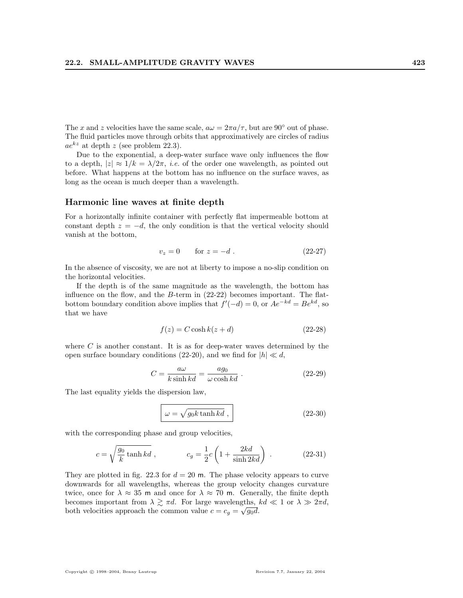The x and z velocities have the same scale,  $a\omega = 2\pi a/\tau$ , but are 90° out of phase. The fluid particles move through orbits that approximatively are circles of radius  $ae^{kz}$  at depth z (see problem 22.3).

Due to the exponential, a deep-water surface wave only influences the flow to a depth,  $|z| \approx 1/k = \lambda/2\pi$ , *i.e.* of the order one wavelength, as pointed out before. What happens at the bottom has no influence on the surface waves, as long as the ocean is much deeper than a wavelength.

#### Harmonic line waves at finite depth

For a horizontally infinite container with perfectly flat impermeable bottom at constant depth  $z = -d$ , the only condition is that the vertical velocity should vanish at the bottom,

$$
v_z = 0 \tfor z = -d. \t(22-27)
$$

In the absence of viscosity, we are not at liberty to impose a no-slip condition on the horizontal velocities.

If the depth is of the same magnitude as the wavelength, the bottom has influence on the flow, and the  $B$ -term in  $(22-22)$  becomes important. The flatbottom boundary condition above implies that  $f'(-d) = 0$ , or  $Ae^{-kd} = Be^{kd}$ , so that we have

$$
f(z) = C \cosh k(z + d)
$$
 (22-28)

where  $C$  is another constant. It is as for deep-water waves determined by the open surface boundary conditions (22-20), and we find for  $|h| \ll d$ ,

$$
C = \frac{a\omega}{k\sinh kd} = \frac{ag_0}{\omega\cosh kd} \ . \tag{22-29}
$$

The last equality yields the dispersion law,

$$
\omega = \sqrt{g_0 k \tanh k d} \;, \tag{22-30}
$$

with the corresponding phase and group velocities,

$$
c = \sqrt{\frac{g_0}{k} \tanh kd} , \qquad c_g = \frac{1}{2}c\left(1 + \frac{2kd}{\sinh 2kd}\right) . \qquad (22-31)
$$

They are plotted in fig. 22.3 for  $d = 20$  m. The phase velocity appears to curve downwards for all wavelengths, whereas the group velocity changes curvature twice, once for  $\lambda \approx 35$  m and once for  $\lambda \approx 70$  m. Generally, the finite depth becomes important from  $\lambda \gtrsim \pi d$ . For large wavelengths,  $kd \ll 1$  or  $\lambda \gg 2\pi d$ , both velocities approach the common value  $c = c_g = \sqrt{g_0 d}$ .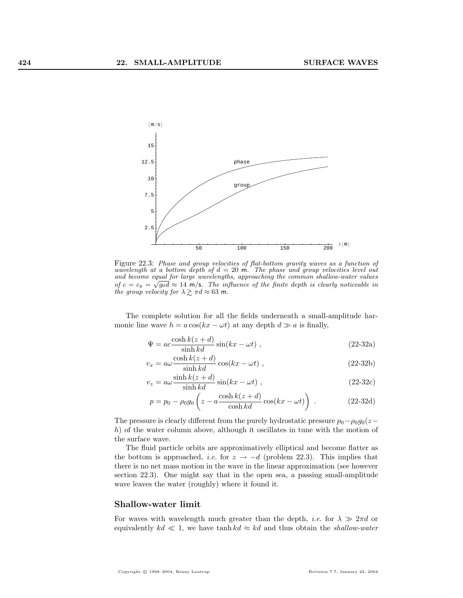

Figure 22.3: Phase and group velocities of flat-bottom gravity waves as a function of wavelength at a bottom depth of  $d = 20$  m. The phase and group velocities level out and become equal for large wavelengths, approaching the common shallow-water values of  $c = c_g = \sqrt{g_0 d} \approx 14$  m/s. The influence of the finite depth is clearly noticeable in the group velocity for  $\lambda \gtrsim \pi d \approx 63$  m.

The complete solution for all the fields underneath a small-amplitude harmonic line wave  $h = a \cos(kx - \omega t)$  at any depth  $d \gg a$  is finally,

$$
\Psi = ac \frac{\cosh k(z+d)}{\sinh kd} \sin(kx - \omega t) ,
$$
\n(22-32a)

$$
v_x = a\omega \frac{\cosh k(z+d)}{\sinh kd} \cos(kx - \omega t) ,
$$
 (22-32b)

$$
v_z = a\omega \frac{\sinh k(z+d)}{\sinh kd} \sin(kx - \omega t) ,
$$
 (22-32c)

$$
p = p_0 - \rho_0 g_0 \left( z - a \frac{\cosh k(z + d)}{\cosh kd} \cos(kx - \omega t) \right) . \tag{22-32d}
$$

The pressure is clearly different from the purely hydrostatic pressure  $p_0 - \rho_0 g_0(z-\alpha)$ h) of the water column above, although it oscillates in tune with the motion of the surface wave.

The fluid particle orbits are approximatively elliptical and become flatter as the bottom is approached, *i.e.* for  $z \rightarrow -d$  (problem 22.3). This implies that there is no net mass motion in the wave in the linear approximation (see however section 22.3). One might say that in the open sea, a passing small-amplitude wave leaves the water (roughly) where it found it.

#### Shallow-water limit

For waves with wavelength much greater than the depth, *i.e.* for  $\lambda \gg 2\pi d$  or equivalently  $kd \ll 1$ , we have tanh  $kd \approx kd$  and thus obtain the shallow-water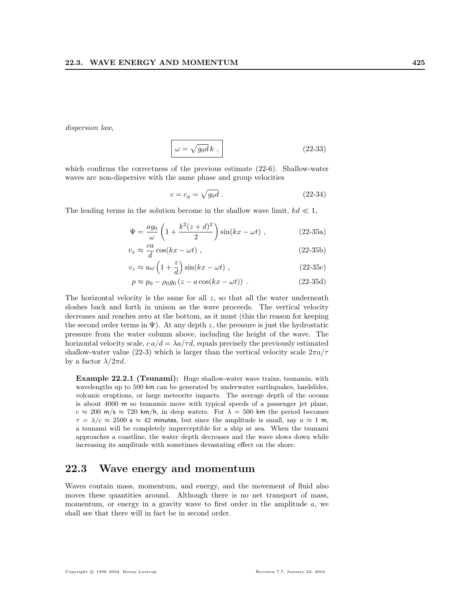dispersion law,

$$
\omega = \sqrt{g_0 d} k \,, \tag{22-33}
$$

which confirms the correctness of the previous estimate (22-6). Shallow-water waves are non-dispersive with the same phase and group velocities

$$
c = c_g = \sqrt{g_0 d} \tag{22-34}
$$

The leading terms in the solution become in the shallow wave limit,  $kd \ll 1$ ,

$$
\Psi = \frac{ag_0}{\omega} \left( 1 + \frac{k^2(z+d)^2}{2} \right) \sin(kx - \omega t) , \qquad (22-35a)
$$

$$
v_x \approx \frac{ca}{d} \cos(kx - \omega t) , \qquad (22-35b)
$$

$$
v_z \approx a\omega \left(1 + \frac{z}{d}\right) \sin(kx - \omega t) , \qquad (22-35c)
$$

$$
p \approx p_0 - \rho_0 g_0 \left( z - a \cos(kx - \omega t) \right) \tag{22-35d}
$$

The horizontal velocity is the same for all  $z$ , so that all the water underneath sloshes back and forth in unison as the wave proceeds. The vertical velocity decreases and reaches zero at the bottom, as it must (this the reason for keeping the second order terms in  $\Psi$ ). At any depth z, the pressure is just the hydrostatic pressure from the water column above, including the height of the wave. The horizontal velocity scale,  $ca/d = \lambda a/\tau d$ , equals precisely the previously estimated shallow-water value (22-3) which is larger than the vertical velocity scale  $2\pi a/\tau$ by a factor  $\lambda/2\pi d$ .

Example 22.2.1 (Tsunami): Huge shallow-water wave trains, tsunamis, with wavelengths up to 500 km can be generated by underwater earthquakes, landslides, volcanic eruptions, or large meteorite impacts. The average depth of the oceans is about 4000 m so tsunamis move with typical speeds of a passenger jet plane,  $c \approx 200$  m/s  $\approx 720$  km/h, in deep waters. For  $\lambda = 500$  km the period becomes  $\tau = \lambda/c \approx 2500$  s  $\approx 42$  minutes, but since the amplitude is small, say  $a \approx 1$  m, a tsunami will be completely imperceptible for a ship at sea. When the tsunami approaches a coastline, the water depth decreases and the wave slows down while increasing its amplitude with sometimes devastating effect on the shore.

# 22.3 Wave energy and momentum

Waves contain mass, momentum, and energy, and the movement of fluid also moves these quantities around. Although there is no net transport of mass, momentum, or energy in a gravity wave to first order in the amplitude  $a$ , we shall see that there will in fact be in second order.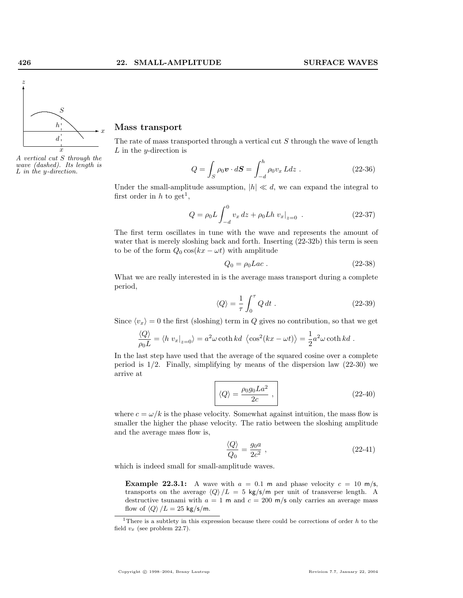

A vertical cut S through the wave (dashed). Its length is  $\mu$  in the y-direction.  $\mathcal{L}$ 

#### Mass transport

The rate of mass transported through a vertical cut S through the wave of length  $L$  in the *y*-direction is

$$
Q = \int_{S} \rho_0 \mathbf{v} \cdot d\mathbf{S} = \int_{-d}^{h} \rho_0 v_x L dz \ . \qquad (22-36)
$$

Under the small-amplitude assumption,  $|h| \ll d$ , we can expand the integral to first order in h to get<sup>1</sup>,

$$
Q = \rho_0 L \int_{-d}^{0} v_x \, dz + \rho_0 L h \, v_x \big|_{z=0} \tag{22-37}
$$

The first term oscillates in tune with the wave and represents the amount of water that is merely sloshing back and forth. Inserting  $(22-32b)$  this term is seen to be of the form  $Q_0 \cos(kx - \omega t)$  with amplitude

$$
Q_0 = \rho_0 Lac \tag{22-38}
$$

What we are really interested in is the average mass transport during a complete period,

$$
\langle Q \rangle = \frac{1}{\tau} \int_0^{\tau} Q \, dt \tag{22-39}
$$

Since  $\langle v_x \rangle = 0$  the first (sloshing) term in Q gives no contribution, so that we get

$$
\frac{\langle Q \rangle}{\rho_0 L} = \langle h v_x |_{z=0} \rangle = a^2 \omega \coth kd \langle \cos^2(kx - \omega t) \rangle = \frac{1}{2} a^2 \omega \coth kd.
$$

In the last step have used that the average of the squared cosine over a complete period is  $1/2$ . Finally, simplifying by means of the dispersion law  $(22-30)$  we arrive at

$$
\langle Q \rangle = \frac{\rho_0 g_0 L a^2}{2c} , \qquad (22-40)
$$

where  $c = \omega/k$  is the phase velocity. Somewhat against intuition, the mass flow is smaller the higher the phase velocity. The ratio between the sloshing amplitude and the average mass flow is,

$$
\frac{\langle Q \rangle}{Q_0} = \frac{g_0 a}{2c^2} \,,\tag{22-41}
$$

which is indeed small for small-amplitude waves.

**Example 22.3.1:** A wave with  $a = 0.1$  m and phase velocity  $c = 10$  m/s, transports on the average  $\langle Q \rangle /L = 5$  kg/s/m per unit of transverse length. A destructive tsunami with  $a = 1$  m and  $c = 200$  m/s only carries an average mass flow of  $\langle Q \rangle /L = 25$  kg/s/m.

<sup>&</sup>lt;sup>1</sup>There is a subtlety in this expression because there could be corrections of order  $h$  to the field  $v_x$  (see problem 22.7).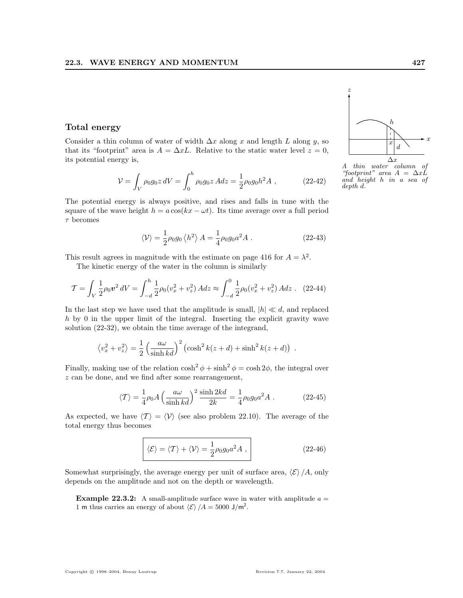#### Total energy

Consider a thin column of water of width  $\Delta x$  along x and length L along y, so that its "footprint" area is  $A = \Delta xL$ . Relative to the static water level  $z = 0$ , its potential energy is,

$$
\mathcal{V} = \int_{V} \rho_0 g_0 z \, dV = \int_0^h \rho_0 g_0 z \, A dz = \frac{1}{2} \rho_0 g_0 h^2 A \,, \tag{22-42}
$$

The potential energy is always positive, and rises and falls in tune with the square of the wave height  $h = a \cos(kx - \omega t)$ . Its time average over a full period  $\tau$  becomes

$$
\langle \mathcal{V} \rangle = \frac{1}{2} \rho_0 g_0 \left\langle h^2 \right\rangle A = \frac{1}{4} \rho_0 g_0 a^2 A . \qquad (22-43)
$$

This result agrees in magnitude with the estimate on page 416 for  $A = \lambda^2$ .

The kinetic energy of the water in the column is similarly

$$
\mathcal{T} = \int_{V} \frac{1}{2} \rho_0 v^2 \, dV = \int_{-d}^{h} \frac{1}{2} \rho_0 (v_x^2 + v_z^2) \, A dz \approx \int_{-d}^{0} \frac{1}{2} \rho_0 (v_x^2 + v_z^2) \, A dz \, . \tag{22-44}
$$

In the last step we have used that the amplitude is small,  $|h| \ll d$ , and replaced h by 0 in the upper limit of the integral. Inserting the explicit gravity wave solution (22-32), we obtain the time average of the integrand,

$$
\langle v_x^2 + v_z^2 \rangle = \frac{1}{2} \left( \frac{a\omega}{\sinh kd} \right)^2 (\cosh^2 k(z+d) + \sinh^2 k(z+d))
$$
.

Finally, making use of the relation  $\cosh^2 \phi + \sinh^2 \phi = \cosh 2\phi$ , the integral over z can be done, and we find after some rearrangement,

$$
\langle T \rangle = \frac{1}{4} \rho_0 A \left( \frac{a\omega}{\sinh kd} \right)^2 \frac{\sinh 2kd}{2k} = \frac{1}{4} \rho_0 g_0 a^2 A . \tag{22-45}
$$

As expected, we have  $\langle T \rangle = \langle V \rangle$  (see also problem 22.10). The average of the total energy thus becomes

$$
\langle \mathcal{E} \rangle = \langle \mathcal{T} \rangle + \langle \mathcal{V} \rangle = \frac{1}{2} \rho_0 g_0 a^2 A \,, \tag{22-46}
$$

Somewhat surprisingly, the average energy per unit of surface area,  $\langle \mathcal{E} \rangle /A$ , only depends on the amplitude and not on the depth or wavelength.

**Example 22.3.2:** A small-amplitude surface wave in water with amplitude  $a =$ 1 m thus carries an energy of about  $\langle \mathcal{E} \rangle /A = 5000 \text{ J/m}^2$ .



z

A thin water column of "footprint" area  $A = \Delta x L$ and height h in a sea of depth d.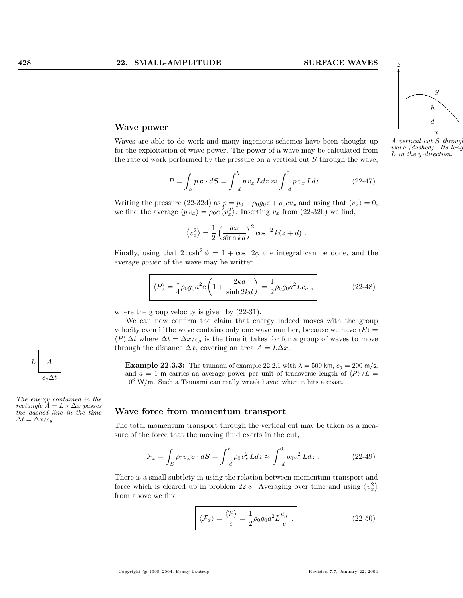

wave (dashed). Its length  $s$ L in the y-direction.

#### Wave power

Waves are able to do work and many ingenious schemes have been thought up for the exploitation of wave power. The power of a wave may be calculated from the rate of work performed by the pressure on a vertical cut  $S$  through the wave,

$$
P = \int_{S} p \mathbf{v} \cdot d\mathbf{S} = \int_{-d}^{h} p v_x L dz \approx \int_{-d}^{0} p v_x L dz . \qquad (22-47)
$$

Writing the pressure (22-32d) as  $p = p_0 - \rho_0 g_0 z + \rho_0 c v_x$  and using that  $\langle v_x \rangle = 0$ , we find the average  $\langle p v_x \rangle = \rho_0 c \langle v_x^2 \rangle$ . Inserting  $v_x$  from (22-32b) we find,

$$
\langle v_x^2 \rangle = \frac{1}{2} \left( \frac{a\omega}{\sinh kd} \right)^2 \cosh^2 k(z+d) .
$$

Finally, using that  $2\cosh^2 \phi = 1 + \cosh 2\phi$  the integral can be done, and the average power of the wave may be written

$$
\boxed{\langle P \rangle = \frac{1}{4} \rho_0 g_0 a^2 c \left( 1 + \frac{2kd}{\sinh 2kd} \right) = \frac{1}{2} \rho_0 g_0 a^2 L c_g ,}
$$
 (22-48)

where the group velocity is given by (22-31).

We can now confirm the claim that energy indeed moves with the group velocity even if the wave contains only one wave number, because we have  $\langle E \rangle =$  $\langle P \rangle \Delta t$  where  $\Delta t = \Delta x/c_g$  is the time it takes for for a group of waves to move through the distance  $\Delta x$ , covering an area  $A = L\Delta x$ .

**Example 22.3.3:** The tsunami of example 22.2.1 with  $\lambda = 500$  km,  $c_g = 200$  m/s, and  $a = 1$  m carries an average power per unit of transverse length of  $\langle P \rangle /L =$  $c_g \Delta t$  106 W/m. Such a Tsunami can really wreak havoc when it hits a coast.

#### Wave force from momentum transport

The total momentum transport through the vertical cut may be taken as a measure of the force that the moving fluid exerts in the cut,

$$
\mathcal{F}_x = \int_S \rho_0 v_x \mathbf{v} \cdot d\mathbf{S} = \int_{-d}^h \rho_0 v_x^2 L dz \approx \int_{-d}^0 \rho_0 v_x^2 L dz \ . \tag{22-49}
$$

There is a small subtlety in using the relation between momentum transport and There is a small subtlety in using the relation between momentum transport and force which is cleared up in problem 22.8. Averaging over time and using  $\langle v_x^2 \rangle$ from above we find

$$
\langle \mathcal{F}_x \rangle = \frac{\langle \mathcal{P} \rangle}{c} = \frac{1}{2} \rho_0 g_0 a^2 L \frac{c_g}{c} . \qquad (22-50)
$$



The energy contained in the rectangle  $\overline{A} = L \times \Delta x$  passes the dashed line in the time  $\Delta t = \Delta x / c_g.$ 



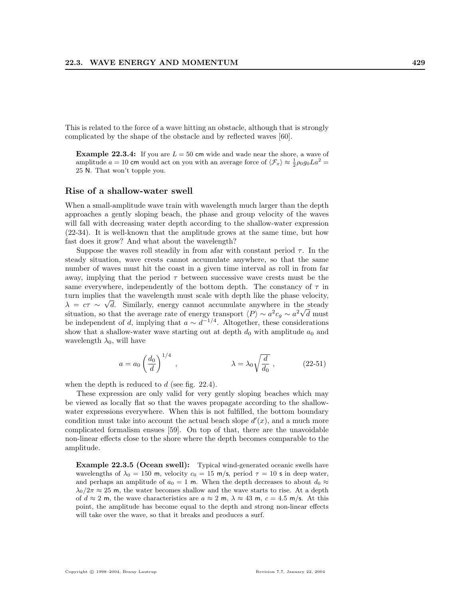This is related to the force of a wave hitting an obstacle, although that is strongly complicated by the shape of the obstacle and by reflected waves [60].

**Example 22.3.4:** If you are  $L = 50$  cm wide and wade near the shore, a wave of amplitude  $a = 10$  cm would act on you with an average force of  $\langle \mathcal{F}_x \rangle \approx \frac{1}{2} \rho_0 g_0 L a^2 =$ 25 N. That won't topple you.

#### Rise of a shallow-water swell

When a small-amplitude wave train with wavelength much larger than the depth approaches a gently sloping beach, the phase and group velocity of the waves will fall with decreasing water depth according to the shallow-water expression (22-34). It is well-known that the amplitude grows at the same time, but how fast does it grow? And what about the wavelength?

Suppose the waves roll steadily in from a far with constant period  $\tau$ . In the steady situation, wave crests cannot accumulate anywhere, so that the same number of waves must hit the coast in a given time interval as roll in from far away, implying that the period  $\tau$  between successive wave crests must be the same everywhere, independently of the bottom depth. The constancy of  $\tau$  in turn implies that the wavelength must scale with depth like the phase velocity,  $\lambda = c\tau \sim \sqrt{d}$ . Similarly, energy cannot accumulate anywhere in the steady situation, so that the average rate of energy transport  $\langle P \rangle \sim a^2 c_g \sim a^2 \sqrt{d}$  must be independent of d, implying that  $a \sim d^{-1/4}$ . Altogether, these considerations show that a shallow-water wave starting out at depth  $d_0$  with amplitude  $a_0$  and wavelength  $\lambda_0$ , will have

$$
a = a_0 \left(\frac{d_0}{d}\right)^{1/4}, \qquad \lambda = \lambda_0 \sqrt{\frac{d}{d_0}}, \qquad (22-51)
$$

when the depth is reduced to  $d$  (see fig. 22.4).

These expression are only valid for very gently sloping beaches which may be viewed as locally flat so that the waves propagate according to the shallowwater expressions everywhere. When this is not fulfilled, the bottom boundary condition must take into account the actual beach slope  $d'(x)$ , and a much more complicated formalism ensues [59]. On top of that, there are the unavoidable non-linear effects close to the shore where the depth becomes comparable to the amplitude.

Example 22.3.5 (Ocean swell): Typical wind-generated oceanic swells have wavelengths of  $\lambda_0 = 150$  m, velocity  $c_0 = 15$  m/s, period  $\tau = 10$  s in deep water, and perhaps an amplitude of  $a_0 = 1$  m. When the depth decreases to about  $d_0 \approx$  $\lambda_0/2\pi \approx 25$  m, the water becomes shallow and the wave starts to rise. At a depth of  $d \approx 2$  m, the wave characteristics are  $a \approx 2$  m,  $\lambda \approx 43$  m,  $c = 4.5$  m/s. At this point, the amplitude has become equal to the depth and strong non-linear effects will take over the wave, so that it breaks and produces a surf.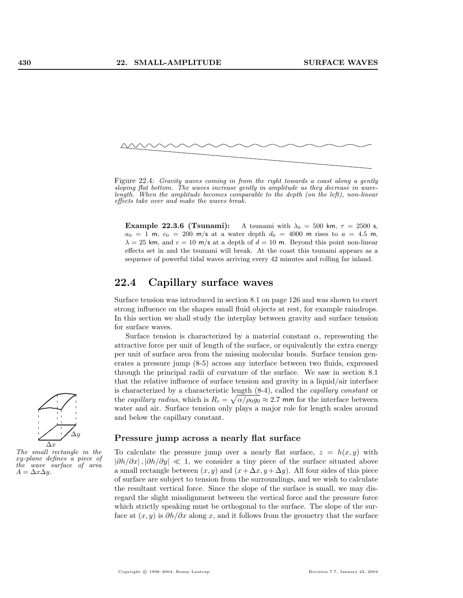

Figure 22.4: Gravity waves coming in from the right towards a coast along a gently sloping flat bottom. The waves increase gently in amplitude as they decrease in wavelength. When the amplitude becomes comparable to the depth (on the left), non-linear effects take over and make the waves break.

Example 22.3.6 (Tsunami): A tsunami with  $\lambda_0 = 500$  km,  $\tau = 2500$  s,  $a_0 = 1$  m,  $c_0 = 200$  m/s at a water depth  $d_0 = 4000$  m rises to  $a = 4.5$  m,  $\lambda = 25$  km, and  $c = 10$  m/s at a depth of  $d = 10$  m. Beyond this point non-linear effects set in and the tsunami will break. At the coast this tsunami appears as a sequence of powerful tidal waves arriving every 42 minutes and rolling far inland.

# 22.4 Capillary surface waves

Surface tension was introduced in section 8.1 on page 126 and was shown to exert strong influence on the shapes small fluid objects at rest, for example raindrops. In this section we shall study the interplay between gravity and surface tension for surface waves.

Surface tension is characterized by a material constant  $\alpha$ , representing the attractive force per unit of length of the surface, or equivalently the extra energy per unit of surface area from the missing molecular bonds. Surface tension generates a pressure jump (8-5) across any interface between two fluids, expressed through the principal radii of curvature of the surface. We saw in section 8.1 that the relative influence of surface tension and gravity in a liquid/air interface is characterized by a characteristic length  $(8-4)$ , called the *capillary constant* or the *capillary radius*, which is  $R_c = \sqrt{\alpha/\rho_0 g_0} \approx 2.7$  mm for the interface between water and air. Surface tension only plays a major role for length scales around and below the capillary constant.

#### Pressure jump across a nearly flat surface

To calculate the pressure jump over a nearly flat surface,  $z = h(x, y)$  with  $|\partial h/\partial x|, |\partial h/\partial y| \ll 1$ , we consider a tiny piece of the surface situated above a small rectangle between  $(x, y)$  and  $(x + \Delta x, y + \Delta y)$ . All four sides of this piece of surface are subject to tension from the surroundings, and we wish to calculate the resultant vertical force. Since the slope of the surface is small, we may disregard the slight misalignment between the vertical force and the pressure force which strictly speaking must be orthogonal to the surface. The slope of the surface at  $(x, y)$  is  $\partial h/\partial x$  along x, and it follows from the geometry that the surface



The small rectangle in the xy-plane defines a piece of the wave surface of area  $A = \Delta x \Delta y$ .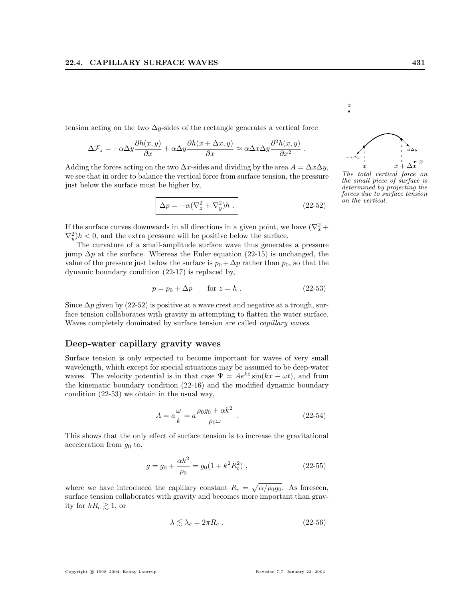tension acting on the two  $\Delta y$ -sides of the rectangle generates a vertical force

$$
\Delta \mathcal{F}_z = -\alpha \Delta y \frac{\partial h(x, y)}{\partial x} + \alpha \Delta y \frac{\partial h(x + \Delta x, y)}{\partial x} \approx \alpha \Delta x \Delta y \frac{\partial^2 h(x, y)}{\partial x^2}.
$$

Adding the forces acting on the two  $\Delta x$ -sides and dividing by the area  $A = \Delta x \Delta y$ , we see that in order to balance the vertical force from surface tension, the pressure just below the surface must be higher by,

$$
\Delta p = -\alpha (\nabla_x^2 + \nabla_y^2) h .
$$
 (22-52)

If the surface curves downwards in all directions in a given point, we have  $(\nabla_x^2 +$  $(\nabla_y^2)h < 0$ , and the extra pressure will be positive below the surface.

The curvature of a small-amplitude surface wave thus generates a pressure jump  $\Delta p$  at the surface. Whereas the Euler equation (22-15) is unchanged, the value of the pressure just below the surface is  $p_0 + \Delta p$  rather than  $p_0$ , so that the dynamic boundary condition (22-17) is replaced by,

$$
p = p_0 + \Delta p \qquad \text{for } z = h . \tag{22-53}
$$

Since  $\Delta p$  given by (22-52) is positive at a wave crest and negative at a trough, surface tension collaborates with gravity in attempting to flatten the water surface. Waves completely dominated by surface tension are called capillary waves.

#### Deep-water capillary gravity waves

Surface tension is only expected to become important for waves of very small wavelength, which except for special situations may be assumed to be deep-water waves. The velocity potential is in that case  $\Psi = Ae^{kz} \sin(kx - \omega t)$ , and from the kinematic boundary condition (22-16) and the modified dynamic boundary condition (22-53) we obtain in the usual way,

$$
A = a\frac{\omega}{k} = a\frac{\rho_0 g_0 + \alpha k^2}{\rho_0 \omega} \tag{22-54}
$$

This shows that the only effect of surface tension is to increase the gravitational acceleration from  $g_0$  to,

$$
g = g_0 + \frac{\alpha k^2}{\rho_0} = g_0 (1 + k^2 R_c^2) , \qquad (22-55)
$$

where we have introduced the capillary constant  $R_c =$ p  $\alpha/\rho_0 g_0$ . As foreseen, surface tension collaborates with gravity and becomes more important than gravity for  $kR_c \gtrsim 1$ , or

$$
\lambda \lesssim \lambda_c = 2\pi R_c \ . \tag{22-56}
$$



The total vertical force on the small piece of surface is determined by projecting the forces due to surface tension on the vertical.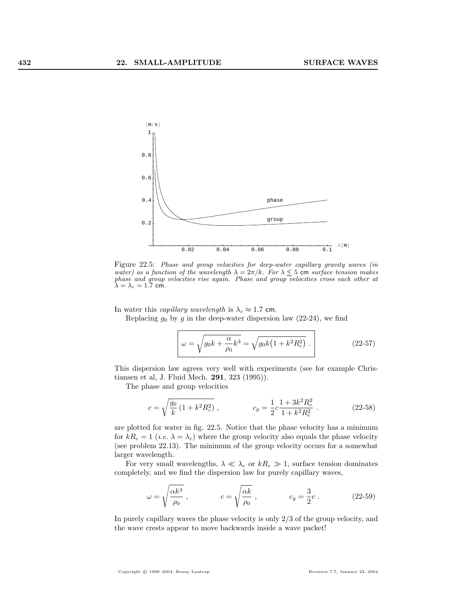

Figure 22.5: Phase and group velocities for deep-water capillary gravity waves (in water) as a function of the wavelength  $\lambda = 2\pi/k$ . For  $\lambda \lesssim 5$  cm surface tension makes phase and group velocities rise again. Phase and group velocities cross each other at  $\lambda = \lambda_c = 1.7$  cm.

In water this *capillary wavelength* is  $\lambda_c \approx 1.7$  cm.

Replacing  $g_0$  by  $g$  in the deep-water dispersion law (22-24), we find

$$
\omega = \sqrt{g_0 k + \frac{\alpha}{\rho_0} k^3} = \sqrt{g_0 k \left(1 + k^2 R_c^2\right)} \ . \tag{22-57}
$$

This dispersion law agrees very well with experiments (see for example Christiansen et al, J. Fluid Mech. 291, 323 (1995)).

The phase and group velocities

$$
c = \sqrt{\frac{g_0}{k} \left(1 + k^2 R_c^2\right)} , \qquad c_g = \frac{1}{2} c \frac{1 + 3k^2 R_c^2}{1 + k^2 R_c^2} . \qquad (22-58)
$$

are plotted for water in fig. 22.5. Notice that the phase velocity has a minimum for  $kR_c = 1$  (*i.e.*  $\lambda = \lambda_c$ ) where the group velocity also equals the phase velocity (see problem 22.13). The minimum of the group velocity occurs for a somewhat larger wavelength.

For very small wavelengths,  $\lambda \ll \lambda_c$  or  $kR_c \gg 1$ , surface tension dominates completely, and we find the dispersion law for purely capillary waves,

$$
\omega = \sqrt{\frac{\alpha k^3}{\rho_0}} , \qquad \qquad c = \sqrt{\frac{\alpha k}{\rho_0}} , \qquad \qquad c_g = \frac{3}{2}c . \qquad (22-59)
$$

In purely capillary waves the phase velocity is only 2/3 of the group velocity, and the wave crests appear to move backwards inside a wave packet!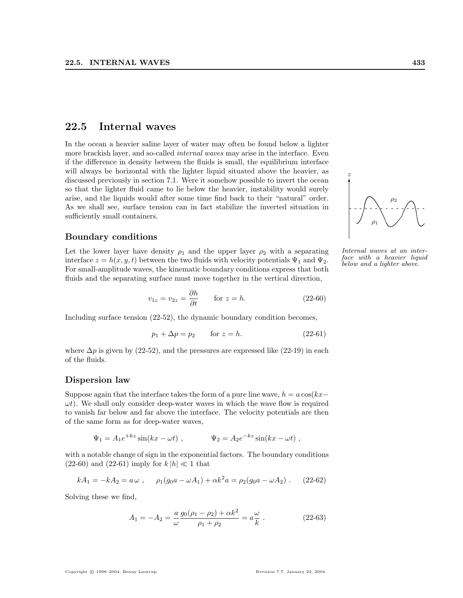# 22.5 Internal waves

In the ocean a heavier saline layer of water may often be found below a lighter more brackish layer, and so-called *internal waves* may arise in the interface. Even if the difference in density between the fluids is small, the equilibrium interface will always be horizontal with the lighter liquid situated above the heavier, as discussed previously in section 7.1. Were it somehow possible to invert the ocean so that the lighter fluid came to lie below the heavier, instability would surely arise, and the liquids would after some time find back to their "natural" order. As we shall see, surface tension can in fact stabilize the inverted situation in sufficiently small containers.

#### Boundary conditions

Let the lower layer have density  $\rho_1$  and the upper layer  $\rho_2$  with a separating interface  $z = h(x, y, t)$  between the two fluids with velocity potentials  $\Psi_1$  and  $\Psi_2$ . For small-amplitude waves, the kinematic boundary conditions express that both fluids and the separating surface must move together in the vertical direction,

$$
v_{1z} = v_{2z} = \frac{\partial h}{\partial t} \qquad \text{for } z = h. \tag{22-60}
$$

Including surface tension (22-52), the dynamic boundary condition becomes,

$$
p_1 + \Delta p = p_2 \qquad \text{for } z = h. \tag{22-61}
$$

where  $\Delta p$  is given by (22-52), and the pressures are expressed like (22-19) in each of the fluids.

#### Dispersion law

Suppose again that the interface takes the form of a pure line wave,  $h = a \cos(kx-\alpha)$  $\omega t$ ). We shall only consider deep-water waves in which the wave flow is required to vanish far below and far above the interface. The velocity potentials are then of the same form as for deep-water waves,

$$
\Psi_1 = A_1 e^{+kz} \sin(kx - \omega t)
$$
,  $\Psi_2 = A_2 e^{-kz} \sin(kx - \omega t)$ ,

with a notable change of sign in the exponential factors. The boundary conditions (22-60) and (22-61) imply for  $k|h| \ll 1$  that

$$
kA_1 = -kA_2 = a\,\omega \;, \quad \rho_1(g_0a - \omega A_1) + \alpha k^2 a = \rho_2(g_0a - \omega A_2) \; . \tag{22-62}
$$

Solving these we find,

$$
A_1 = -A_2 = \frac{a}{\omega} \frac{g_0(\rho_1 - \rho_2) + \alpha k^2}{\rho_1 + \rho_2} = a \frac{\omega}{k}.
$$
 (22-63)

#### . . ....  $\overline{\phantom{a}}$ ... .  $\rho_1$  $\rho_2$

✻ z

Internal waves at an interface with a heavier liquid below and a lighter above.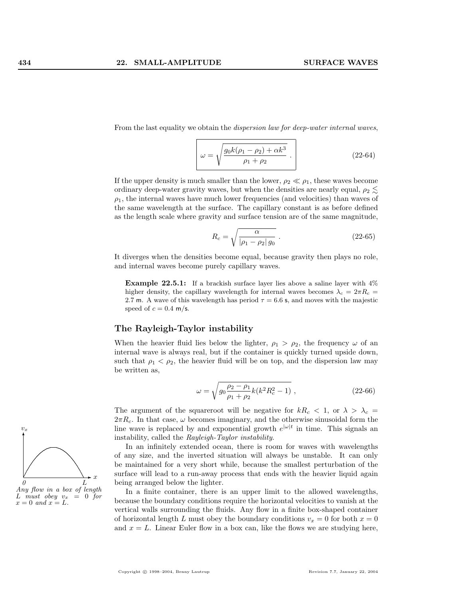From the last equality we obtain the *dispersion law for deep-water internal waves*,

$$
\omega = \sqrt{\frac{g_0 k(\rho_1 - \rho_2) + \alpha k^3}{\rho_1 + \rho_2}}.
$$
\n(22-64)

If the upper density is much smaller than the lower,  $\rho_2 \ll \rho_1$ , these waves become ordinary deep-water gravity waves, but when the densities are nearly equal,  $\rho_2 \lesssim$  $\rho_1$ , the internal waves have much lower frequencies (and velocities) than waves of the same wavelength at the surface. The capillary constant is as before defined as the length scale where gravity and surface tension are of the same magnitude,

$$
R_c = \sqrt{\frac{\alpha}{|\rho_1 - \rho_2| g_0}}.
$$
\n(22-65)

It diverges when the densities become equal, because gravity then plays no role, and internal waves become purely capillary waves.

Example 22.5.1: If a brackish surface layer lies above a saline layer with 4% higher density, the capillary wavelength for internal waves becomes  $\lambda_c = 2\pi R_c =$ 2.7 m. A wave of this wavelength has period  $\tau = 6.6$  s, and moves with the majestic speed of  $c = 0.4$  m/s.

#### The Rayleigh-Taylor instability

When the heavier fluid lies below the lighter,  $\rho_1 > \rho_2$ , the frequency  $\omega$  of an internal wave is always real, but if the container is quickly turned upside down, such that  $\rho_1 < \rho_2$ , the heavier fluid will be on top, and the dispersion law may be written as,

$$
\omega = \sqrt{g_0 \frac{\rho_2 - \rho_1}{\rho_1 + \rho_2} k(k^2 R_c^2 - 1)} , \qquad (22-66)
$$

The argument of the squareroot will be negative for  $kR_c < 1$ , or  $\lambda > \lambda_c =$  $2\pi R_c$ . In that case,  $\omega$  becomes imaginary, and the otherwise sinusoidal form the line wave is replaced by and exponential growth  $e^{|\omega|t}$  in time. This signals an instability, called the Rayleigh-Taylor instability.

In an infinitely extended ocean, there is room for waves with wavelengths of any size, and the inverted situation will always be unstable. It can only be maintained for a very short while, because the smallest perturbation of the surface will lead to a run-away process that ends with the heavier liquid again being arranged below the lighter.

In a finite container, there is an upper limit to the allowed wavelengths, because the boundary conditions require the horizontal velocities to vanish at the vertical walls surrounding the fluids. Any flow in a finite box-shaped container of horizontal length L must obey the boundary conditions  $v_x = 0$  for both  $x = 0$ and  $x = L$ . Linear Euler flow in a box can, like the flows we are studying here,

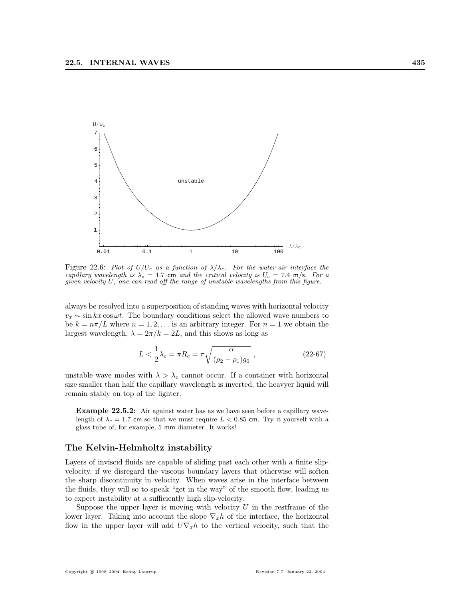

Figure 22.6: Plot of  $U/U_c$  as a function of  $\lambda/\lambda_c$ . For the water-air interface the capillary wavelength is  $\lambda_c = 1.7$  cm and the critical velocity is  $U_c = 7.4$  m/s. For a given velocity  $U$ , one can read off the range of unstable wavelengths from this figure.

always be resolved into a superposition of standing waves with horizontal velocity  $v_x \sim \sin kx \cos \omega t$ . The boundary conditions select the allowed wave numbers to be  $k = n\pi/L$  where  $n = 1, 2, \ldots$  is an arbitrary integer. For  $n = 1$  we obtain the largest wavelength,  $\lambda = 2\pi/k = 2L$ , and this shows as long as

$$
L < \frac{1}{2}\lambda_c = \pi R_c = \pi \sqrt{\frac{\alpha}{(\rho_2 - \rho_1)g_0}}, \tag{22-67}
$$

unstable wave modes with  $\lambda > \lambda_c$  cannot occur. If a container with horizontal size smaller than half the capillary wavelength is inverted, the heavyer liquid will remain stably on top of the lighter.

Example 22.5.2: Air against water has as we have seen before a capillary wavelength of  $\lambda_c = 1.7$  cm so that we must require  $L < 0.85$  cm. Try it yourself with a glass tube of, for example, 5 mm diameter. It works!

#### The Kelvin-Helmholtz instability

Layers of inviscid fluids are capable of sliding past each other with a finite slipvelocity, if we disregard the viscous boundary layers that otherwise will soften the sharp discontinuity in velocity. When waves arise in the interface between the fluids, they will so to speak "get in the way" of the smooth flow, leading us to expect instability at a sufficiently high slip-velocity.

Suppose the upper layer is moving with velocity  $U$  in the restframe of the lower layer. Taking into account the slope  $\nabla_x h$  of the interface, the horizontal flow in the upper layer will add  $U\nabla_x h$  to the vertical velocity, such that the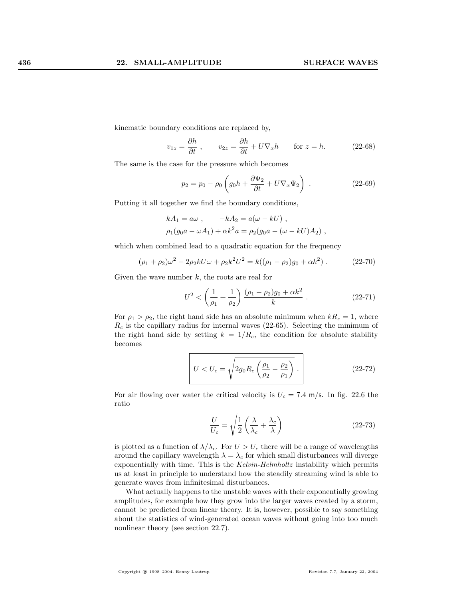kinematic boundary conditions are replaced by,

$$
v_{1z} = \frac{\partial h}{\partial t}, \qquad v_{2z} = \frac{\partial h}{\partial t} + U \nabla_x h \qquad \text{for } z = h. \tag{22-68}
$$

The same is the case for the pressure which becomes

$$
p_2 = p_0 - \rho_0 \left( g_0 h + \frac{\partial \Psi_2}{\partial t} + U \nabla_x \Psi_2 \right) . \tag{22-69}
$$

Putting it all together we find the boundary conditions,

$$
kA_1 = a\omega
$$
,  $-kA_2 = a(\omega - kU)$ ,  
\n $\rho_1(g_0a - \omega A_1) + \alpha k^2 a = \rho_2(g_0a - (\omega - kU)A_2)$ ,

which when combined lead to a quadratic equation for the frequency

$$
(\rho_1 + \rho_2)\omega^2 - 2\rho_2 k U \omega + \rho_2 k^2 U^2 = k((\rho_1 - \rho_2)g_0 + \alpha k^2) . \tag{22-70}
$$

Given the wave number  $k$ , the roots are real for

$$
U^2 < \left(\frac{1}{\rho_1} + \frac{1}{\rho_2}\right) \frac{(\rho_1 - \rho_2)g_0 + \alpha k^2}{k} \,. \tag{22-71}
$$

For  $\rho_1 > \rho_2$ , the right hand side has an absolute minimum when  $kR_c = 1$ , where  $R_c$  is the capillary radius for internal waves (22-65). Selecting the minimum of the right hand side by setting  $k = 1/R_c$ , the condition for absolute stability becomes

$$
U < U_c = \sqrt{2g_0 R_c \left(\frac{\rho_1}{\rho_2} - \frac{\rho_2}{\rho_1}\right)} \tag{22-72}
$$

For air flowing over water the critical velocity is  $U_c = 7.4$  m/s. In fig. 22.6 the ratio

$$
\frac{U}{U_c} = \sqrt{\frac{1}{2} \left( \frac{\lambda}{\lambda_c} + \frac{\lambda_c}{\lambda} \right)}
$$
(22-73)

is plotted as a function of  $\lambda/\lambda_c$ . For  $U > U_c$  there will be a range of wavelengths around the capillary wavelength  $\lambda = \lambda_c$  for which small disturbances will diverge exponentially with time. This is the Kelvin-Helmholtz instability which permits us at least in principle to understand how the steadily streaming wind is able to generate waves from infinitesimal disturbances.

What actually happens to the unstable waves with their exponentially growing amplitudes, for example how they grow into the larger waves created by a storm, cannot be predicted from linear theory. It is, however, possible to say something about the statistics of wind-generated ocean waves without going into too much nonlinear theory (see section 22.7).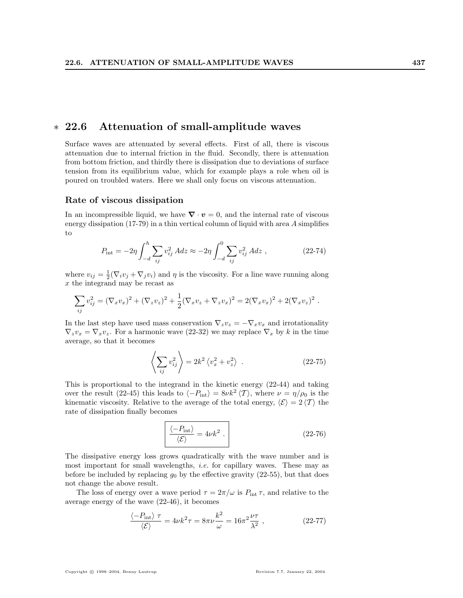## ∗ 22.6 Attenuation of small-amplitude waves

Surface waves are attenuated by several effects. First of all, there is viscous attenuation due to internal friction in the fluid. Secondly, there is attenuation from bottom friction, and thirdly there is dissipation due to deviations of surface tension from its equilibrium value, which for example plays a role when oil is poured on troubled waters. Here we shall only focus on viscous attenuation.

#### Rate of viscous dissipation

In an incompressible liquid, we have  $\nabla \cdot \mathbf{v} = 0$ , and the internal rate of viscous energy dissipation (17-79) in a thin vertical column of liquid with area A simplifies to

$$
P_{\rm int} = -2\eta \int_{-d}^{h} \sum_{ij} v_{ij}^{2} A dz \approx -2\eta \int_{-d}^{0} \sum_{ij} v_{ij}^{2} A dz , \qquad (22-74)
$$

where  $v_{ij} = \frac{1}{2}(\nabla_i v_j + \nabla_j v_i)$  and  $\eta$  is the viscosity. For a line wave running along x the integrand may be recast as

$$
\sum_{ij} v_{ij}^2 = (\nabla_x v_x)^2 + (\nabla_z v_z)^2 + \frac{1}{2} (\nabla_x v_z + \nabla_z v_x)^2 = 2(\nabla_x v_x)^2 + 2(\nabla_x v_z)^2.
$$

In the last step have used mass conservation  $\nabla_z v_z = -\nabla_x v_x$  and irrotationality  $\nabla_z v_x = \nabla_x v_z$ . For a harmonic wave (22-32) we may replace  $\nabla_x$  by k in the time average, so that it becomes

$$
\left\langle \sum_{ij} v_{ij}^2 \right\rangle = 2k^2 \left\langle v_x^2 + v_z^2 \right\rangle . \tag{22-75}
$$

This is proportional to the integrand in the kinetic energy (22-44) and taking over the result (22-45) this leads to  $\langle -P_{\text{int}} \rangle = 8\nu k^2 \langle \mathcal{T} \rangle$ , where  $\nu = \eta/\rho_0$  is the kinematic viscosity. Relative to the average of the total energy,  $\langle \mathcal{E} \rangle = 2 \langle \mathcal{T} \rangle$  the rate of dissipation finally becomes

$$
\frac{\langle -P_{\rm int} \rangle}{\langle \mathcal{E} \rangle} = 4\nu k^2 . \qquad (22-76)
$$

The dissipative energy loss grows quadratically with the wave number and is most important for small wavelengths, i.e. for capillary waves. These may as before be included by replacing  $g_0$  by the effective gravity (22-55), but that does not change the above result.

The loss of energy over a wave period  $\tau = 2\pi/\omega$  is  $P_{\text{int}} \tau$ , and relative to the average energy of the wave (22-46), it becomes

$$
\frac{\langle -P_{\text{int}} \rangle \tau}{\langle \mathcal{E} \rangle} = 4\nu k^2 \tau = 8\pi \nu \frac{k^2}{\omega} = 16\pi^2 \frac{\nu \tau}{\lambda^2} ,\qquad (22-77)
$$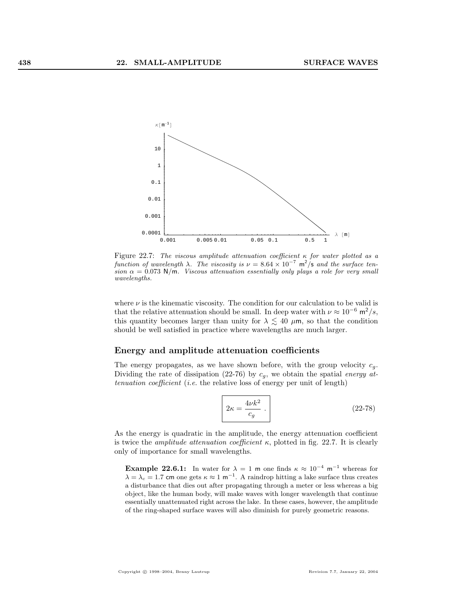

Figure 22.7: The viscous amplitude attenuation coefficient  $\kappa$  for water plotted as a function of wavelength  $\lambda$ . The viscosity is  $\nu = 8.64 \times 10^{-7}$  m<sup>2</sup>/s and the surface tension  $\alpha = 0.073$  N/m. Viscous attenuation essentially only plays a role for very small wavelengths.

where  $\nu$  is the kinematic viscosity. The condition for our calculation to be valid is that the relative attenuation should be small. In deep water with  $\nu \approx 10^{-6} \text{ m}^2/\text{s}$ , this quantity becomes larger than unity for  $\lambda \lesssim 40 \mu$ m, so that the condition should be well satisfied in practice where wavelengths are much larger.

#### Energy and amplitude attenuation coefficients

The energy propagates, as we have shown before, with the group velocity  $c_g$ . Dividing the rate of dissipation (22-76) by  $c_q$ , we obtain the spatial energy attenuation coefficient (i.e. the relative loss of energy per unit of length)

$$
2\kappa = \frac{4\nu k^2}{c_g} \,. \tag{22-78}
$$

As the energy is quadratic in the amplitude, the energy attenuation coefficient is twice the *amplitude attenuation coefficient*  $\kappa$ , plotted in fig. 22.7. It is clearly only of importance for small wavelengths.

**Example 22.6.1:** In water for  $\lambda = 1$  m one finds  $\kappa \approx 10^{-4}$  m<sup>-1</sup> whereas for  $\lambda = \lambda_c = 1.7$  cm one gets  $\kappa \approx 1 \text{ m}^{-1}$ . A raindrop hitting a lake surface thus creates a disturbance that dies out after propagating through a meter or less whereas a big object, like the human body, will make waves with longer wavelength that continue essentially unattenuated right across the lake. In these cases, however, the amplitude of the ring-shaped surface waves will also diminish for purely geometric reasons.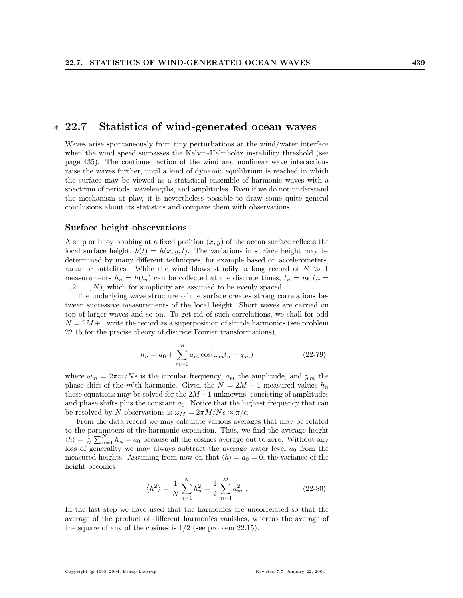## ∗ 22.7 Statistics of wind-generated ocean waves

Waves arise spontaneously from tiny perturbations at the wind/water interface when the wind speed surpasses the Kelvin-Helmholtz instability threshold (see page 435). The continued action of the wind and nonlinear wave interactions raise the waves further, until a kind of dynamic equilibrium is reached in which the surface may be viewed as a statistical ensemble of harmonic waves with a spectrum of periods, wavelengths, and amplitudes. Even if we do not understand the mechanism at play, it is nevertheless possible to draw some quite general conclusions about its statistics and compare them with observations.

#### Surface height observations

A ship or buoy bobbing at a fixed position  $(x, y)$  of the ocean surface reflects the local surface height,  $h(t) = h(x, y, t)$ . The variations in surface height may be determined by many different techniques, for example based on accelerometers, radar or sattelites. While the wind blows steadily, a long record of  $N \gg 1$ measurements  $h_n = h(t_n)$  can be collected at the discrete times,  $t_n = n\epsilon$  (*n* =  $1, 2, \ldots, N$ , which for simplicity are assumed to be evenly spaced.

The underlying wave structure of the surface creates strong correlations between successive measurements of the local height. Short waves are carried on top of larger waves and so on. To get rid of such correlations, we shall for odd  $N = 2M + 1$  write the record as a superposition of simple harmonics (see problem 22.15 for the precise theory of discrete Fourier transformations),

$$
h_n = a_0 + \sum_{m=1}^{M} a_m \cos(\omega_m t_n - \chi_m)
$$
 (22-79)

where  $\omega_m = 2\pi m/N\epsilon$  is the circular frequency,  $a_m$  the amplitude, and  $\chi_m$  the phase shift of the m'th harmonic. Given the  $N = 2M + 1$  measured values  $h_n$ these equations may be solved for the  $2M+1$  unknowns, consisting of amplitudes and phase shifts plus the constant  $a_0$ . Notice that the highest frequency that can be resolved by N observations is  $\omega_M = 2\pi M/N\epsilon \approx \pi/\epsilon$ .

From the data record we may calculate various averages that may be related to the parameters of the harmonic expansion. Thus, we find the average height  $\langle h \rangle = \frac{1}{N}$ Trained is of the narmonic expansion. Thus, we find the average neight  $\sum_{n=1}^{N} h_n = a_0$  because all the cosines average out to zero. Without any loss of generality we may always subtract the average water level  $a_0$  from the measured heights. Assuming from now on that  $\langle h \rangle = a_0 = 0$ , the variance of the height becomes

$$
\langle h^2 \rangle = \frac{1}{N} \sum_{n=1}^{N} h_n^2 = \frac{1}{2} \sum_{m=1}^{M} a_m^2 .
$$
 (22-80)

In the last step we have used that the harmonics are uncorrelated so that the average of the product of different harmonics vanishes, whereas the average of the square of any of the cosines is  $1/2$  (see problem 22.15).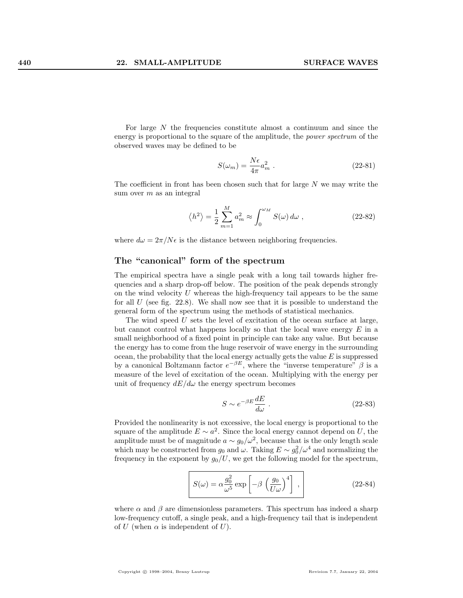For large N the frequencies constitute almost a continuum and since the energy is proportional to the square of the amplitude, the power spectrum of the observed waves may be defined to be

$$
S(\omega_m) = \frac{N\epsilon}{4\pi} a_m^2 \tag{22-81}
$$

The coefficient in front has been chosen such that for large  $N$  we may write the sum over  $m$  as an integral

$$
\langle h^2 \rangle = \frac{1}{2} \sum_{m=1}^{M} a_m^2 \approx \int_0^{\omega_M} S(\omega) d\omega , \qquad (22-82)
$$

where  $d\omega = 2\pi/N\epsilon$  is the distance between neighboring frequencies.

#### The "canonical" form of the spectrum

The empirical spectra have a single peak with a long tail towards higher frequencies and a sharp drop-off below. The position of the peak depends strongly on the wind velocity  $U$  whereas the high-frequency tail appears to be the same for all  $U$  (see fig. 22.8). We shall now see that it is possible to understand the general form of the spectrum using the methods of statistical mechanics.

The wind speed  $U$  sets the level of excitation of the ocean surface at large, but cannot control what happens locally so that the local wave energy  $E$  in a small neighborhood of a fixed point in principle can take any value. But because the energy has to come from the huge reservoir of wave energy in the surrounding ocean, the probability that the local energy actually gets the value  $E$  is suppressed by a canonical Boltzmann factor  $e^{-\beta E}$ , where the "inverse temperature"  $\beta$  is a measure of the level of excitation of the ocean. Multiplying with the energy per unit of frequency  $dE/d\omega$  the energy spectrum becomes

$$
S \sim e^{-\beta E} \frac{dE}{d\omega} \tag{22-83}
$$

Provided the nonlinearity is not excessive, the local energy is proportional to the square of the amplitude  $E \sim a^2$ . Since the local energy cannot depend on U, the amplitude must be of magnitude  $a \sim g_0/\omega^2$ , because that is the only length scale which may be constructed from  $g_0$  and  $\omega$ . Taking  $E \sim g_0^2/\omega^4$  and normalizing the frequency in the exponent by  $q_0/U$ , we get the following model for the spectrum,

$$
S(\omega) = \alpha \frac{g_0^2}{\omega^5} \exp\left[-\beta \left(\frac{g_0}{U\omega}\right)^4\right],
$$
 (22-84)

where  $\alpha$  and  $\beta$  are dimensionless parameters. This spectrum has indeed a sharp low-frequency cutoff, a single peak, and a high-frequency tail that is independent of U (when  $\alpha$  is independent of U).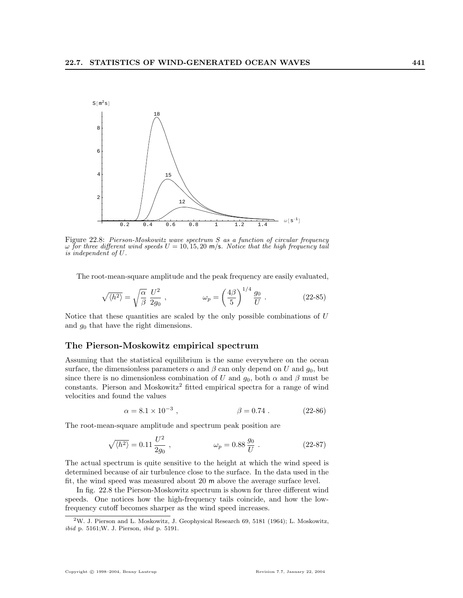

Figure 22.8: Pierson-Moskowitz wave spectrum S as a function of circular frequency  $\omega$  for three different wind speeds  $U = 10, 15, 20$  m/s. Notice that the high frequency tail is independent of U.

The root-mean-square amplitude and the peak frequency are easily evaluated,

$$
\sqrt{\langle h^2 \rangle} = \sqrt{\frac{\alpha}{\beta}} \frac{U^2}{2g_0} , \qquad \qquad \omega_p = \left(\frac{4\beta}{5}\right)^{1/4} \frac{g_0}{U} . \qquad (22-85)
$$

 $\frac{1}{4}$ 

Notice that these quantities are scaled by the only possible combinations of  $U$ and  $g_0$  that have the right dimensions.

#### The Pierson-Moskowitz empirical spectrum

Assuming that the statistical equilibrium is the same everywhere on the ocean surface, the dimensionless parameters  $\alpha$  and  $\beta$  can only depend on U and  $g_0$ , but since there is no dimensionless combination of U and  $g_0$ , both  $\alpha$  and  $\beta$  must be constants. Pierson and Moskowitz<sup>2</sup> fitted empirical spectra for a range of wind velocities and found the values

$$
\alpha = 8.1 \times 10^{-3} , \qquad \beta = 0.74 . \qquad (22-86)
$$

The root-mean-square amplitude and spectrum peak position are

$$
\sqrt{\langle h^2 \rangle} = 0.11 \frac{U^2}{2g_0} , \qquad \qquad \omega_p = 0.88 \frac{g_0}{U} . \qquad (22-87)
$$

The actual spectrum is quite sensitive to the height at which the wind speed is determined because of air turbulence close to the surface. In the data used in the fit, the wind speed was measured about 20 m above the average surface level.

In fig. 22.8 the Pierson-Moskowitz spectrum is shown for three different wind speeds. One notices how the high-frequency tails coincide, and how the lowfrequency cutoff becomes sharper as the wind speed increases.

<sup>2</sup>W. J. Pierson and L. Moskowitz, J. Geophysical Research 69, 5181 (1964); L. Moskowitz, ibid p. 5161;W. J. Pierson, ibid p. 5191.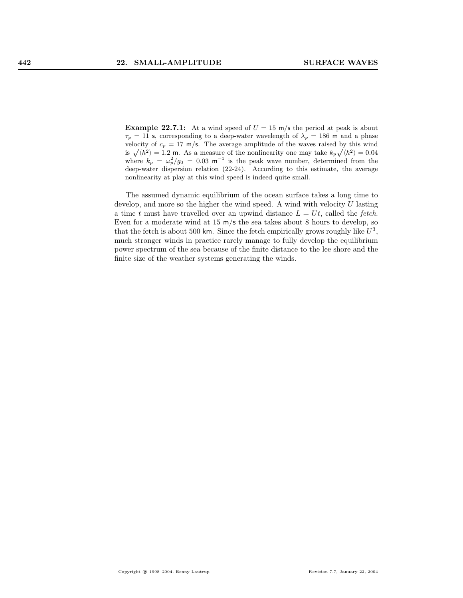**Example 22.7.1:** At a wind speed of  $U = 15$  m/s the period at peak is about  $\tau_p = 11$  s, corresponding to a deep-water wavelength of  $\lambda_p = 186$  m and a phase velocity of  $c_p = 17$  m/s. The average amplitude of the waves raised by this wind is  $\sqrt{\langle h^2 \rangle} = 1.2$  m. As a measure of the nonlinearity one may take  $k_p\sqrt{\langle h^2 \rangle} = 0.04$ where  $k_p = \omega_p^2/g_0 = 0.03 \text{ m}^{-1}$  is the peak wave number, determined from the deep-water dispersion relation (22-24). According to this estimate, the average nonlinearity at play at this wind speed is indeed quite small.

The assumed dynamic equilibrium of the ocean surface takes a long time to develop, and more so the higher the wind speed. A wind with velocity U lasting a time t must have travelled over an upwind distance  $L = Ut$ , called the fetch. Even for a moderate wind at  $15 \text{ m/s}$  the sea takes about 8 hours to develop, so that the fetch is about 500 km. Since the fetch empirically grows roughly like  $U^3$ , much stronger winds in practice rarely manage to fully develop the equilibrium power spectrum of the sea because of the finite distance to the lee shore and the finite size of the weather systems generating the winds.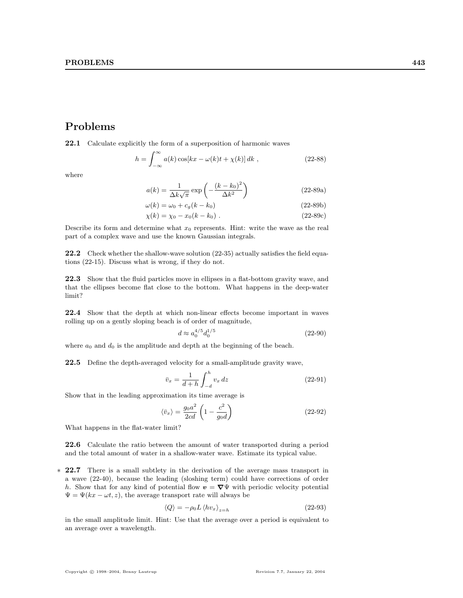# Problems

22.1 Calculate explicitly the form of a superposition of harmonic waves

$$
h = \int_{-\infty}^{\infty} a(k) \cos[kx - \omega(k)t + \chi(k)] dk , \qquad (22-88)
$$

where

$$
a(k) = \frac{1}{\Delta k \sqrt{\pi}} \exp\left(-\frac{(k - k_0)^2}{\Delta k^2}\right)
$$
 (22-89a)

$$
\omega(k) = \omega_0 + c_g(k - k_0) \tag{22-89b}
$$

$$
\chi(k) = \chi_0 - x_0(k - k_0) \tag{22-89c}
$$

Describe its form and determine what  $x_0$  represents. Hint: write the wave as the real part of a complex wave and use the known Gaussian integrals.

22.2 Check whether the shallow-wave solution (22-35) actually satisfies the field equations (22-15). Discuss what is wrong, if they do not.

22.3 Show that the fluid particles move in ellipses in a flat-bottom gravity wave, and that the ellipses become flat close to the bottom. What happens in the deep-water limit?

22.4 Show that the depth at which non-linear effects become important in waves rolling up on a gently sloping beach is of order of magnitude,

$$
d \approx a_0^{4/5} d_0^{1/5} \tag{22-90}
$$

where  $a_0$  and  $d_0$  is the amplitude and depth at the beginning of the beach.

22.5 Define the depth-averaged velocity for a small-amplitude gravity wave,

$$
\bar{v}_x = \frac{1}{d+h} \int_{-d}^h v_x \, dz \tag{22-91}
$$

Show that in the leading approximation its time average is

$$
\langle \bar{v}_x \rangle = \frac{g_0 a^2}{2cd} \left( 1 - \frac{c^2}{g_0 d} \right) \tag{22-92}
$$

What happens in the flat-water limit?

22.6 Calculate the ratio between the amount of water transported during a period and the total amount of water in a shallow-water wave. Estimate its typical value.

∗ 22.7 There is a small subtlety in the derivation of the average mass transport in a wave (22-40), because the leading (sloshing term) could have corrections of order h. Show that for any kind of potential flow  $v = \nabla \Psi$  with periodic velocity potential  $\Psi = \Psi(kx - \omega t, z)$ , the average transport rate will always be

$$
\langle Q \rangle = -\rho_0 L \langle h v_x \rangle_{z=h} \tag{22-93}
$$

in the small amplitude limit. Hint: Use that the average over a period is equivalent to an average over a wavelength.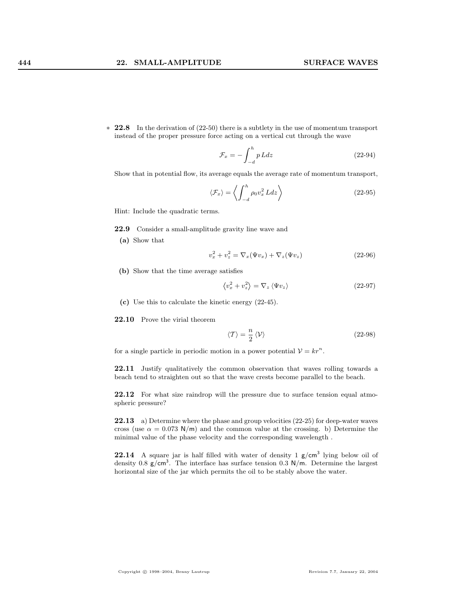$\ast$  22.8 In the derivation of (22-50) there is a subtlety in the use of momentum transport instead of the proper pressure force acting on a vertical cut through the wave

$$
\mathcal{F}_x = -\int_{-d}^{h} p \, Ldz \tag{22-94}
$$

Show that in potential flow, its average equals the average rate of momentum transport,

$$
\langle \mathcal{F}_x \rangle = \left\langle \int_{-d}^h \rho_0 v_x^2 L dz \right\rangle \tag{22-95}
$$

Hint: Include the quadratic terms.

22.9 Consider a small-amplitude gravity line wave and

(a) Show that

$$
v_x^2 + v_z^2 = \nabla_x(\Psi v_x) + \nabla_z(\Psi v_z)
$$
\n
$$
(22-96)
$$

(b) Show that the time average satisfies

$$
\langle v_x^2 + v_z^2 \rangle = \nabla_z \langle \Psi v_z \rangle \tag{22-97}
$$

(c) Use this to calculate the kinetic energy (22-45).

22.10 Prove the virial theorem

$$
\langle T \rangle = \frac{n}{2} \langle \mathcal{V} \rangle \tag{22-98}
$$

for a single particle in periodic motion in a power potential  $V = kr^n$ .

22.11 Justify qualitatively the common observation that waves rolling towards a beach tend to straighten out so that the wave crests become parallel to the beach.

22.12 For what size raindrop will the pressure due to surface tension equal atmospheric pressure?

22.13 a) Determine where the phase and group velocities (22-25) for deep-water waves cross (use  $\alpha = 0.073$  N/m) and the common value at the crossing. b) Determine the minimal value of the phase velocity and the corresponding wavelength .

**22.14** A square jar is half filled with water of density  $1 \text{ g/cm}^3$  lying below oil of density 0.8  $g/cm<sup>3</sup>$ . The interface has surface tension 0.3 N/m. Determine the largest horizontal size of the jar which permits the oil to be stably above the water.